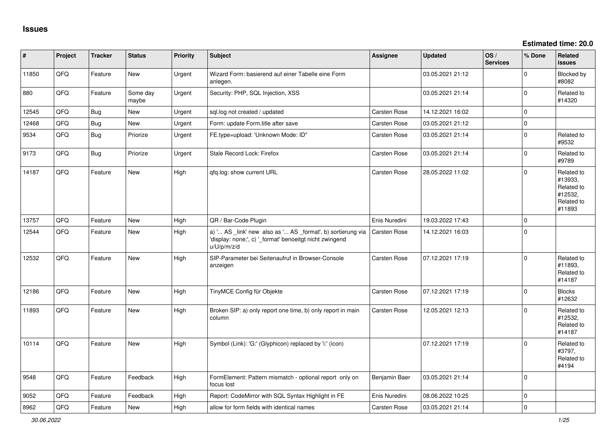**Estimated time: 20.0**

| #     | Project | <b>Tracker</b> | <b>Status</b>     | <b>Priority</b> | Subject                                                                                                                               | Assignee            | <b>Updated</b>   | OS/<br><b>Services</b> | % Done      | Related<br><b>issues</b>                                               |
|-------|---------|----------------|-------------------|-----------------|---------------------------------------------------------------------------------------------------------------------------------------|---------------------|------------------|------------------------|-------------|------------------------------------------------------------------------|
| 11850 | QFQ     | Feature        | New               | Urgent          | Wizard Form: basierend auf einer Tabelle eine Form<br>anlegen.                                                                        |                     | 03.05.2021 21:12 |                        | $\Omega$    | <b>Blocked by</b><br>#8082                                             |
| 880   | QFQ     | Feature        | Some day<br>maybe | Urgent          | Security: PHP, SQL Injection, XSS                                                                                                     |                     | 03.05.2021 21:14 |                        | $\mathbf 0$ | Related to<br>#14320                                                   |
| 12545 | QFQ     | Bug            | <b>New</b>        | Urgent          | sql.log not created / updated                                                                                                         | <b>Carsten Rose</b> | 14.12.2021 16:02 |                        | $\Omega$    |                                                                        |
| 12468 | QFQ     | <b>Bug</b>     | New               | Urgent          | Form: update Form.title after save                                                                                                    | Carsten Rose        | 03.05.2021 21:12 |                        | $\mathbf 0$ |                                                                        |
| 9534  | QFQ     | Bug            | Priorize          | Urgent          | FE.type=upload: 'Unknown Mode: ID"                                                                                                    | Carsten Rose        | 03.05.2021 21:14 |                        | $\mathbf 0$ | Related to<br>#9532                                                    |
| 9173  | QFQ     | <b>Bug</b>     | Priorize          | Urgent          | Stale Record Lock: Firefox                                                                                                            | Carsten Rose        | 03.05.2021 21:14 |                        | $\Omega$    | Related to<br>#9789                                                    |
| 14187 | QFQ     | Feature        | New               | High            | qfq.log: show current URL                                                                                                             | <b>Carsten Rose</b> | 28.05.2022 11:02 |                        | $\Omega$    | Related to<br>#13933,<br>Related to<br>#12532,<br>Related to<br>#11893 |
| 13757 | QFQ     | Feature        | <b>New</b>        | High            | QR / Bar-Code Plugin                                                                                                                  | Enis Nuredini       | 19.03.2022 17:43 |                        | $\Omega$    |                                                                        |
| 12544 | QFQ     | Feature        | New               | High            | a) ' AS _link' new also as ' AS _format', b) sortierung via<br>'display: none;', c) ' format' benoeitgt nicht zwingend<br>u/U/p/m/z/d | <b>Carsten Rose</b> | 14.12.2021 16:03 |                        | $\Omega$    |                                                                        |
| 12532 | QFQ     | Feature        | <b>New</b>        | High            | SIP-Parameter bei Seitenaufruf in Browser-Console<br>anzeigen                                                                         | Carsten Rose        | 07.12.2021 17:19 |                        | $\Omega$    | Related to<br>#11893,<br>Related to<br>#14187                          |
| 12186 | QFQ     | Feature        | <b>New</b>        | High            | TinyMCE Config für Objekte                                                                                                            | <b>Carsten Rose</b> | 07.12.2021 17:19 |                        | $\Omega$    | <b>Blocks</b><br>#12632                                                |
| 11893 | QFQ     | Feature        | <b>New</b>        | High            | Broken SIP: a) only report one time, b) only report in main<br>column                                                                 | Carsten Rose        | 12.05.2021 12:13 |                        | $\Omega$    | Related to<br>#12532,<br>Related to<br>#14187                          |
| 10114 | QFQ     | Feature        | <b>New</b>        | High            | Symbol (Link): 'G:' (Glyphicon) replaced by 'i:' (icon)                                                                               |                     | 07.12.2021 17:19 |                        | $\Omega$    | Related to<br>#3797,<br>Related to<br>#4194                            |
| 9548  | QFQ     | Feature        | Feedback          | High            | FormElement: Pattern mismatch - optional report only on<br>focus lost                                                                 | Benjamin Baer       | 03.05.2021 21:14 |                        | $\mathbf 0$ |                                                                        |
| 9052  | QFQ     | Feature        | Feedback          | High            | Report: CodeMirror with SQL Syntax Highlight in FE                                                                                    | Enis Nuredini       | 08.06.2022 10:25 |                        | $\mathbf 0$ |                                                                        |
| 8962  | QFQ     | Feature        | New               | High            | allow for form fields with identical names                                                                                            | <b>Carsten Rose</b> | 03.05.2021 21:14 |                        | $\mathbf 0$ |                                                                        |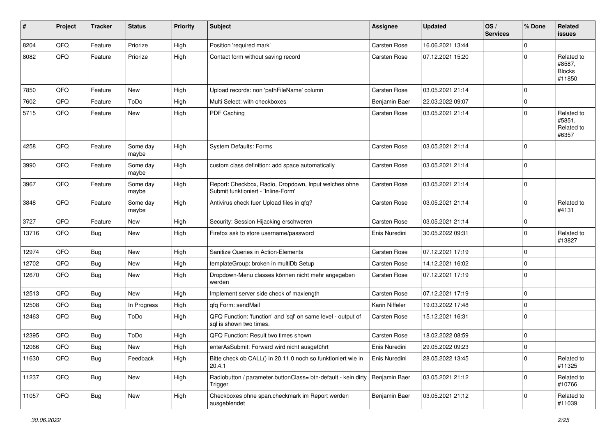| #     | Project | <b>Tracker</b>   | <b>Status</b>     | <b>Priority</b> | <b>Subject</b>                                                                               | Assignee            | <b>Updated</b>   | OS/<br><b>Services</b> | % Done      | Related<br>issues                               |
|-------|---------|------------------|-------------------|-----------------|----------------------------------------------------------------------------------------------|---------------------|------------------|------------------------|-------------|-------------------------------------------------|
| 8204  | QFQ     | Feature          | Priorize          | High            | Position 'required mark'                                                                     | <b>Carsten Rose</b> | 16.06.2021 13:44 |                        | $\mathbf 0$ |                                                 |
| 8082  | QFQ     | Feature          | Priorize          | High            | Contact form without saving record                                                           | Carsten Rose        | 07.12.2021 15:20 |                        | $\Omega$    | Related to<br>#8587,<br><b>Blocks</b><br>#11850 |
| 7850  | QFQ     | Feature          | New               | High            | Upload records: non 'pathFileName' column                                                    | Carsten Rose        | 03.05.2021 21:14 |                        | $\Omega$    |                                                 |
| 7602  | QFQ     | Feature          | ToDo              | High            | Multi Select: with checkboxes                                                                | Benjamin Baer       | 22.03.2022 09:07 |                        | $\Omega$    |                                                 |
| 5715  | QFQ     | Feature          | New               | High            | PDF Caching                                                                                  | Carsten Rose        | 03.05.2021 21:14 |                        | $\Omega$    | Related to<br>#5851,<br>Related to<br>#6357     |
| 4258  | QFQ     | Feature          | Some day<br>maybe | High            | <b>System Defaults: Forms</b>                                                                | <b>Carsten Rose</b> | 03.05.2021 21:14 |                        | $\Omega$    |                                                 |
| 3990  | QFQ     | Feature          | Some day<br>maybe | High            | custom class definition: add space automatically                                             | <b>Carsten Rose</b> | 03.05.2021 21:14 |                        | $\Omega$    |                                                 |
| 3967  | QFQ     | Feature          | Some day<br>maybe | High            | Report: Checkbox, Radio, Dropdown, Input welches ohne<br>Submit funktioniert - 'Inline-Form' | <b>Carsten Rose</b> | 03.05.2021 21:14 |                        | $\Omega$    |                                                 |
| 3848  | QFQ     | Feature          | Some day<br>maybe | High            | Antivirus check fuer Upload files in qfq?                                                    | Carsten Rose        | 03.05.2021 21:14 |                        | $\Omega$    | Related to<br>#4131                             |
| 3727  | QFQ     | Feature          | New               | High            | Security: Session Hijacking erschweren                                                       | <b>Carsten Rose</b> | 03.05.2021 21:14 |                        | $\Omega$    |                                                 |
| 13716 | QFQ     | <b>Bug</b>       | New               | High            | Firefox ask to store username/password                                                       | Enis Nuredini       | 30.05.2022 09:31 |                        | $\Omega$    | Related to<br>#13827                            |
| 12974 | QFQ     | <b>Bug</b>       | <b>New</b>        | High            | Sanitize Queries in Action-Elements                                                          | <b>Carsten Rose</b> | 07.12.2021 17:19 |                        | $\Omega$    |                                                 |
| 12702 | QFQ     | <b>Bug</b>       | New               | High            | templateGroup: broken in multiDb Setup                                                       | <b>Carsten Rose</b> | 14.12.2021 16:02 |                        | $\Omega$    |                                                 |
| 12670 | QFQ     | <b>Bug</b>       | New               | High            | Dropdown-Menu classes können nicht mehr angegeben<br>werden                                  | Carsten Rose        | 07.12.2021 17:19 |                        | $\Omega$    |                                                 |
| 12513 | QFQ     | <b>Bug</b>       | New               | High            | Implement server side check of maxlength                                                     | <b>Carsten Rose</b> | 07.12.2021 17:19 |                        | $\Omega$    |                                                 |
| 12508 | QFQ     | <b>Bug</b>       | In Progress       | High            | gfg Form: sendMail                                                                           | Karin Niffeler      | 19.03.2022 17:48 |                        | $\Omega$    |                                                 |
| 12463 | QFQ     | Bug              | ToDo              | High            | QFQ Function: 'function' and 'sql' on same level - output of<br>sql is shown two times.      | <b>Carsten Rose</b> | 15.12.2021 16:31 |                        | $\Omega$    |                                                 |
| 12395 | QFQ     | <b>Bug</b>       | ToDo              | High            | QFQ Function: Result two times shown                                                         | <b>Carsten Rose</b> | 18.02.2022 08:59 |                        | $\Omega$    |                                                 |
| 12066 | QFQ     | <sub>I</sub> Bug | New               | High            | enterAsSubmit: Forward wird nicht ausgeführt                                                 | Enis Nuredini       | 29.05.2022 09:23 |                        | 0           |                                                 |
| 11630 | QFQ     | <b>Bug</b>       | Feedback          | High            | Bitte check ob CALL() in 20.11.0 noch so funktioniert wie in<br>20.4.1                       | Enis Nuredini       | 28.05.2022 13:45 |                        | $\Omega$    | Related to<br>#11325                            |
| 11237 | QFQ     | Bug              | New               | High            | Radiobutton / parameter.buttonClass= btn-default - kein dirty<br>Trigger                     | Benjamin Baer       | 03.05.2021 21:12 |                        | 0           | Related to<br>#10766                            |
| 11057 | QFO     | <b>Bug</b>       | New               | High            | Checkboxes ohne span.checkmark im Report werden<br>ausgeblendet                              | Benjamin Baer       | 03.05.2021 21:12 |                        | 0           | Related to<br>#11039                            |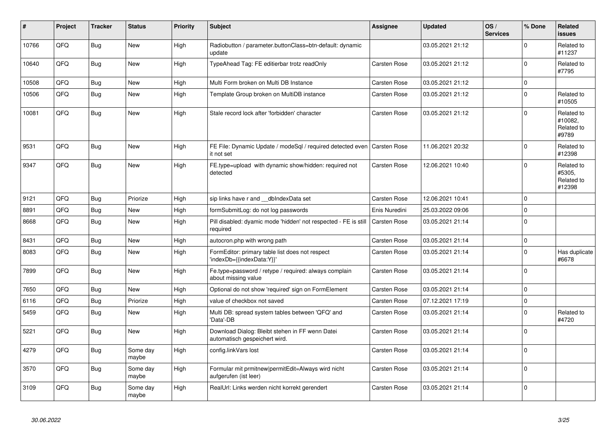| #     | Project | <b>Tracker</b> | <b>Status</b>     | <b>Priority</b> | <b>Subject</b>                                                                   | <b>Assignee</b>     | <b>Updated</b>   | OS/<br><b>Services</b> | % Done         | Related<br>issues                            |
|-------|---------|----------------|-------------------|-----------------|----------------------------------------------------------------------------------|---------------------|------------------|------------------------|----------------|----------------------------------------------|
| 10766 | QFQ     | <b>Bug</b>     | <b>New</b>        | High            | Radiobutton / parameter.buttonClass=btn-default: dynamic<br>update               |                     | 03.05.2021 21:12 |                        | $\Omega$       | Related to<br>#11237                         |
| 10640 | QFQ     | Bug            | <b>New</b>        | High            | TypeAhead Tag: FE editierbar trotz readOnly                                      | <b>Carsten Rose</b> | 03.05.2021 21:12 |                        | $\pmb{0}$      | Related to<br>#7795                          |
| 10508 | QFQ     | Bug            | New               | High            | Multi Form broken on Multi DB Instance                                           | <b>Carsten Rose</b> | 03.05.2021 21:12 |                        | 0              |                                              |
| 10506 | QFQ     | <b>Bug</b>     | <b>New</b>        | High            | Template Group broken on MultiDB instance                                        | <b>Carsten Rose</b> | 03.05.2021 21:12 |                        | 0              | Related to<br>#10505                         |
| 10081 | QFQ     | Bug            | New               | High            | Stale record lock after 'forbidden' character                                    | <b>Carsten Rose</b> | 03.05.2021 21:12 |                        | $\Omega$       | Related to<br>#10082.<br>Related to<br>#9789 |
| 9531  | QFQ     | Bug            | <b>New</b>        | High            | FE File: Dynamic Update / modeSql / required detected even<br>it not set         | <b>Carsten Rose</b> | 11.06.2021 20:32 |                        | $\mathbf 0$    | Related to<br>#12398                         |
| 9347  | QFQ     | Bug            | New               | High            | FE.type=upload with dynamic show/hidden: required not<br>detected                | <b>Carsten Rose</b> | 12.06.2021 10:40 |                        | 0              | Related to<br>#5305,<br>Related to<br>#12398 |
| 9121  | QFQ     | Bug            | Priorize          | High            | sip links have r and __dbIndexData set                                           | Carsten Rose        | 12.06.2021 10:41 |                        | 0              |                                              |
| 8891  | QFQ     | <b>Bug</b>     | <b>New</b>        | High            | formSubmitLog: do not log passwords                                              | Enis Nuredini       | 25.03.2022 09:06 |                        | $\pmb{0}$      |                                              |
| 8668  | QFQ     | <b>Bug</b>     | <b>New</b>        | High            | Pill disabled: dyamic mode 'hidden' not respected - FE is still<br>required      | <b>Carsten Rose</b> | 03.05.2021 21:14 |                        | $\pmb{0}$      |                                              |
| 8431  | QFQ     | <b>Bug</b>     | <b>New</b>        | High            | autocron.php with wrong path                                                     | <b>Carsten Rose</b> | 03.05.2021 21:14 |                        | $\pmb{0}$      |                                              |
| 8083  | QFQ     | <b>Bug</b>     | <b>New</b>        | High            | FormEditor: primary table list does not respect<br>'indexDb={{indexData:Y}}'     | <b>Carsten Rose</b> | 03.05.2021 21:14 |                        | 0              | Has duplicate<br>#6678                       |
| 7899  | QFQ     | Bug            | New               | High            | Fe.type=password / retype / required: always complain<br>about missing value     | Carsten Rose        | 03.05.2021 21:14 |                        | $\mathbf 0$    |                                              |
| 7650  | QFQ     | Bug            | New               | High            | Optional do not show 'required' sign on FormElement                              | <b>Carsten Rose</b> | 03.05.2021 21:14 |                        | $\mathbf 0$    |                                              |
| 6116  | QFQ     | Bug            | Priorize          | High            | value of checkbox not saved                                                      | <b>Carsten Rose</b> | 07.12.2021 17:19 |                        | $\overline{0}$ |                                              |
| 5459  | QFQ     | Bug            | New               | High            | Multi DB: spread system tables between 'QFQ' and<br>'Data'-DB                    | Carsten Rose        | 03.05.2021 21:14 |                        | $\mathbf{0}$   | Related to<br>#4720                          |
| 5221  | QFQ     | <b>Bug</b>     | <b>New</b>        | High            | Download Dialog: Bleibt stehen in FF wenn Datei<br>automatisch gespeichert wird. | <b>Carsten Rose</b> | 03.05.2021 21:14 |                        | $\pmb{0}$      |                                              |
| 4279  | QFQ     | Bug            | Some day<br>maybe | High            | config.linkVars lost                                                             | <b>Carsten Rose</b> | 03.05.2021 21:14 |                        | $\mathbf 0$    |                                              |
| 3570  | QFQ     | <b>Bug</b>     | Some day<br>maybe | High            | Formular mit prmitnew permitEdit=Always wird nicht<br>aufgerufen (ist leer)      | <b>Carsten Rose</b> | 03.05.2021 21:14 |                        | 0              |                                              |
| 3109  | QFQ     | Bug            | Some day<br>maybe | High            | RealUrl: Links werden nicht korrekt gerendert                                    | <b>Carsten Rose</b> | 03.05.2021 21:14 |                        | $\Omega$       |                                              |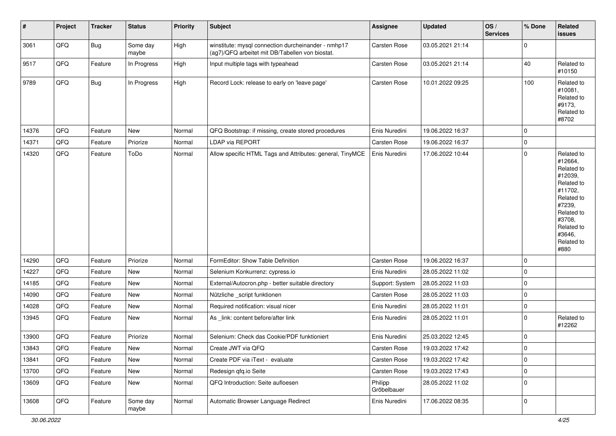| #     | Project        | <b>Tracker</b> | <b>Status</b>     | <b>Priority</b> | Subject                                                                                                | Assignee               | Updated          | OS/<br><b>Services</b> | % Done      | Related<br>issues                                                                                                                                                     |
|-------|----------------|----------------|-------------------|-----------------|--------------------------------------------------------------------------------------------------------|------------------------|------------------|------------------------|-------------|-----------------------------------------------------------------------------------------------------------------------------------------------------------------------|
| 3061  | QFQ            | <b>Bug</b>     | Some day<br>maybe | High            | winstitute: mysql connection durcheinander - nmhp17<br>(ag7)/QFQ arbeitet mit DB/Tabellen von biostat. | Carsten Rose           | 03.05.2021 21:14 |                        | $\Omega$    |                                                                                                                                                                       |
| 9517  | QFQ            | Feature        | In Progress       | High            | Input multiple tags with typeahead                                                                     | Carsten Rose           | 03.05.2021 21:14 |                        | 40          | Related to<br>#10150                                                                                                                                                  |
| 9789  | QFQ            | <b>Bug</b>     | In Progress       | High            | Record Lock: release to early on 'leave page'                                                          | Carsten Rose           | 10.01.2022 09:25 |                        | 100         | Related to<br>#10081,<br>Related to<br>#9173,<br>Related to<br>#8702                                                                                                  |
| 14376 | QFQ            | Feature        | New               | Normal          | QFQ Bootstrap: if missing, create stored procedures                                                    | Enis Nuredini          | 19.06.2022 16:37 |                        | $\Omega$    |                                                                                                                                                                       |
| 14371 | QFQ            | Feature        | Priorize          | Normal          | LDAP via REPORT                                                                                        | <b>Carsten Rose</b>    | 19.06.2022 16:37 |                        | $\Omega$    |                                                                                                                                                                       |
| 14320 | QFQ            | Feature        | ToDo              | Normal          | Allow specific HTML Tags and Attributes: general, TinyMCE                                              | Enis Nuredini          | 17.06.2022 10:44 |                        | 0           | Related to<br>#12664,<br>Related to<br>#12039,<br>Related to<br>#11702,<br>Related to<br>#7239,<br>Related to<br>#3708,<br>Related to<br>#3646,<br>Related to<br>#880 |
| 14290 | QFQ            | Feature        | Priorize          | Normal          | FormEditor: Show Table Definition                                                                      | Carsten Rose           | 19.06.2022 16:37 |                        | $\Omega$    |                                                                                                                                                                       |
| 14227 | QFQ            | Feature        | New               | Normal          | Selenium Konkurrenz: cypress.io                                                                        | Enis Nuredini          | 28.05.2022 11:02 |                        | $\Omega$    |                                                                                                                                                                       |
| 14185 | QFQ            | Feature        | New               | Normal          | External/Autocron.php - better suitable directory                                                      | Support: System        | 28.05.2022 11:03 |                        | $\Omega$    |                                                                                                                                                                       |
| 14090 | QFQ            | Feature        | New               | Normal          | Nützliche _script funktionen                                                                           | <b>Carsten Rose</b>    | 28.05.2022 11:03 |                        | $\Omega$    |                                                                                                                                                                       |
| 14028 | QFQ            | Feature        | New               | Normal          | Required notification: visual nicer                                                                    | Enis Nuredini          | 28.05.2022 11:01 |                        | $\Omega$    |                                                                                                                                                                       |
| 13945 | QFQ            | Feature        | New               | Normal          | As _link: content before/after link                                                                    | Enis Nuredini          | 28.05.2022 11:01 |                        | $\Omega$    | Related to<br>#12262                                                                                                                                                  |
| 13900 | QFQ            | Feature        | Priorize          | Normal          | Selenium: Check das Cookie/PDF funktioniert                                                            | Enis Nuredini          | 25.03.2022 12:45 |                        | $\mathbf 0$ |                                                                                                                                                                       |
| 13843 | $\mathsf{QFQ}$ | Feature        | New               | Normal          | Create JWT via QFQ                                                                                     | Carsten Rose           | 19.03.2022 17:42 |                        | 0           |                                                                                                                                                                       |
| 13841 | QFQ            | Feature        | New               | Normal          | Create PDF via iText - evaluate                                                                        | Carsten Rose           | 19.03.2022 17:42 |                        | $\mathbf 0$ |                                                                                                                                                                       |
| 13700 | QFQ            | Feature        | New               | Normal          | Redesign qfq.io Seite                                                                                  | Carsten Rose           | 19.03.2022 17:43 |                        | 0           |                                                                                                                                                                       |
| 13609 | QFQ            | Feature        | New               | Normal          | QFQ Introduction: Seite aufloesen                                                                      | Philipp<br>Gröbelbauer | 28.05.2022 11:02 |                        | 0           |                                                                                                                                                                       |
| 13608 | QFQ            | Feature        | Some day<br>maybe | Normal          | Automatic Browser Language Redirect                                                                    | Enis Nuredini          | 17.06.2022 08:35 |                        | 0           |                                                                                                                                                                       |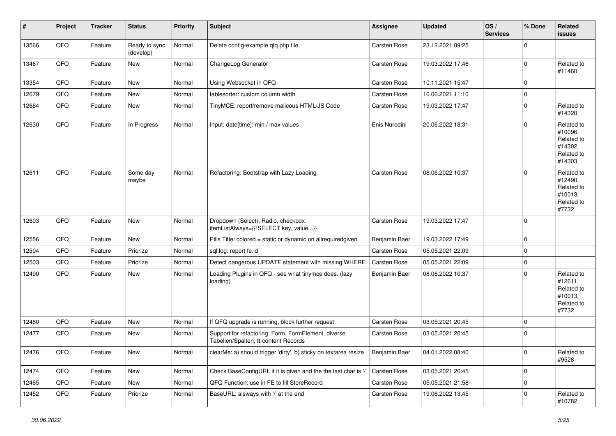| #     | Project | <b>Tracker</b> | <b>Status</b>              | <b>Priority</b> | <b>Subject</b>                                                                              | Assignee      | <b>Updated</b>   | OS/<br><b>Services</b> | % Done      | Related<br><b>issues</b>                                               |
|-------|---------|----------------|----------------------------|-----------------|---------------------------------------------------------------------------------------------|---------------|------------------|------------------------|-------------|------------------------------------------------------------------------|
| 13566 | QFQ     | Feature        | Ready to sync<br>(develop) | Normal          | Delete config-example.qfq.php file                                                          | Carsten Rose  | 23.12.2021 09:25 |                        | 0           |                                                                        |
| 13467 | QFQ     | Feature        | New                        | Normal          | ChangeLog Generator                                                                         | Carsten Rose  | 19.03.2022 17:46 |                        | 0           | Related to<br>#11460                                                   |
| 13354 | QFQ     | Feature        | New                        | Normal          | Using Websocket in QFQ                                                                      | Carsten Rose  | 10.11.2021 15:47 |                        | 0           |                                                                        |
| 12679 | QFQ     | Feature        | <b>New</b>                 | Normal          | tablesorter: custom column width                                                            | Carsten Rose  | 16.06.2021 11:10 |                        | 0           |                                                                        |
| 12664 | QFQ     | Feature        | New                        | Normal          | TinyMCE: report/remove malicous HTML/JS Code                                                | Carsten Rose  | 19.03.2022 17:47 |                        | 0           | Related to<br>#14320                                                   |
| 12630 | QFQ     | Feature        | In Progress                | Normal          | Input: date[time]: min / max values                                                         | Enis Nuredini | 20.06.2022 18:31 |                        | 0           | Related to<br>#10096,<br>Related to<br>#14302,<br>Related to<br>#14303 |
| 12611 | QFQ     | Feature        | Some day<br>maybe          | Normal          | Refactoring: Bootstrap with Lazy Loading                                                    | Carsten Rose  | 08.06.2022 10:37 |                        | 0           | Related to<br>#12490,<br>Related to<br>#10013,<br>Related to<br>#7732  |
| 12603 | QFQ     | Feature        | New                        | Normal          | Dropdown (Select), Radio, checkbox:<br>itemListAlways={{!SELECT key, value}}                | Carsten Rose  | 19.03.2022 17:47 |                        | 0           |                                                                        |
| 12556 | QFQ     | Feature        | New                        | Normal          | Pills Title: colored = static or dynamic on allrequiredgiven                                | Benjamin Baer | 19.03.2022 17:49 |                        | 0           |                                                                        |
| 12504 | QFQ     | Feature        | Priorize                   | Normal          | sql.log: report fe.id                                                                       | Carsten Rose  | 05.05.2021 22:09 |                        | 0           |                                                                        |
| 12503 | QFQ     | Feature        | Priorize                   | Normal          | Detect dangerous UPDATE statement with missing WHERE                                        | Carsten Rose  | 05.05.2021 22:09 |                        | 0           |                                                                        |
| 12490 | QFQ     | Feature        | New                        | Normal          | Loading Plugins in QFQ - see what tinymce does. (lazy<br>loading)                           | Benjamin Baer | 08.06.2022 10:37 |                        | 0           | Related to<br>#12611,<br>Related to<br>#10013,<br>Related to<br>#7732  |
| 12480 | QFQ     | Feature        | New                        | Normal          | If QFQ upgrade is running, block further request                                            | Carsten Rose  | 03.05.2021 20:45 |                        | 0           |                                                                        |
| 12477 | QFQ     | Feature        | New                        | Normal          | Support for refactoring: Form, FormElement, diverse<br>Tabellen/Spalten, tt-content Records | Carsten Rose  | 03.05.2021 20:45 |                        | 0           |                                                                        |
| 12476 | QFQ     | Feature        | New                        | Normal          | clearMe: a) should trigger 'dirty', b) sticky on textarea resize                            | Benjamin Baer | 04.01.2022 08:40 |                        | 0           | Related to<br>#9528                                                    |
| 12474 | QFQ     | Feature        | New                        | Normal          | Check BaseConfigURL if it is given and the the last char is '/'                             | Carsten Rose  | 03.05.2021 20:45 |                        | $\mathbf 0$ |                                                                        |
| 12465 | QFQ     | Feature        | New                        | Normal          | QFQ Function: use in FE to fill StoreRecord                                                 | Carsten Rose  | 05.05.2021 21:58 |                        | 0           |                                                                        |
| 12452 | QFQ     | Feature        | Priorize                   | Normal          | BaseURL: alsways with '/' at the end                                                        | Carsten Rose  | 19.06.2022 13:45 |                        | 0           | Related to<br>#10782                                                   |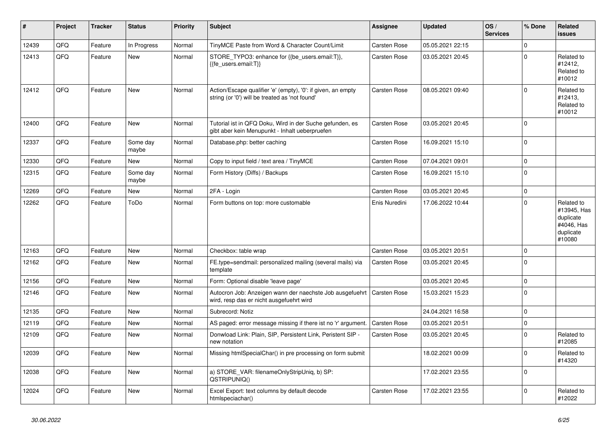| #     | Project | <b>Tracker</b> | <b>Status</b>     | <b>Priority</b> | <b>Subject</b>                                                                                                 | <b>Assignee</b>     | <b>Updated</b>   | OS/<br><b>Services</b> | % Done      | Related<br><b>issues</b>                                                    |
|-------|---------|----------------|-------------------|-----------------|----------------------------------------------------------------------------------------------------------------|---------------------|------------------|------------------------|-------------|-----------------------------------------------------------------------------|
| 12439 | QFQ     | Feature        | In Progress       | Normal          | TinyMCE Paste from Word & Character Count/Limit                                                                | <b>Carsten Rose</b> | 05.05.2021 22:15 |                        | $\Omega$    |                                                                             |
| 12413 | QFQ     | Feature        | New               | Normal          | STORE_TYPO3: enhance for {{be_users.email:T}},<br>{{fe users.email:T}}                                         | Carsten Rose        | 03.05.2021 20:45 |                        | $\Omega$    | Related to<br>#12412,<br>Related to<br>#10012                               |
| 12412 | QFQ     | Feature        | New               | Normal          | Action/Escape qualifier 'e' (empty), '0': if given, an empty<br>string (or '0') will be treated as 'not found' | <b>Carsten Rose</b> | 08.05.2021 09:40 |                        | $\Omega$    | Related to<br>#12413,<br>Related to<br>#10012                               |
| 12400 | QFQ     | Feature        | <b>New</b>        | Normal          | Tutorial ist in QFQ Doku, Wird in der Suche gefunden, es<br>gibt aber kein Menupunkt - Inhalt ueberpruefen     | Carsten Rose        | 03.05.2021 20:45 |                        | $\Omega$    |                                                                             |
| 12337 | QFQ     | Feature        | Some day<br>maybe | Normal          | Database.php: better caching                                                                                   | <b>Carsten Rose</b> | 16.09.2021 15:10 |                        | $\Omega$    |                                                                             |
| 12330 | QFQ     | Feature        | New               | Normal          | Copy to input field / text area / TinyMCE                                                                      | <b>Carsten Rose</b> | 07.04.2021 09:01 |                        | $\mathbf 0$ |                                                                             |
| 12315 | QFQ     | Feature        | Some day<br>maybe | Normal          | Form History (Diffs) / Backups                                                                                 | <b>Carsten Rose</b> | 16.09.2021 15:10 |                        | $\Omega$    |                                                                             |
| 12269 | QFQ     | Feature        | New               | Normal          | 2FA - Login                                                                                                    | Carsten Rose        | 03.05.2021 20:45 |                        | $\Omega$    |                                                                             |
| 12262 | QFQ     | Feature        | ToDo              | Normal          | Form buttons on top: more customable                                                                           | Enis Nuredini       | 17.06.2022 10:44 |                        | $\Omega$    | Related to<br>#13945, Has<br>duplicate<br>#4046, Has<br>duplicate<br>#10080 |
| 12163 | QFQ     | Feature        | <b>New</b>        | Normal          | Checkbox: table wrap                                                                                           | Carsten Rose        | 03.05.2021 20:51 |                        | $\mathbf 0$ |                                                                             |
| 12162 | QFQ     | Feature        | <b>New</b>        | Normal          | FE.type=sendmail: personalized mailing (several mails) via<br>template                                         | Carsten Rose        | 03.05.2021 20:45 |                        | $\Omega$    |                                                                             |
| 12156 | QFQ     | Feature        | <b>New</b>        | Normal          | Form: Optional disable 'leave page'                                                                            |                     | 03.05.2021 20:45 |                        | $\Omega$    |                                                                             |
| 12146 | QFQ     | Feature        | New               | Normal          | Autocron Job: Anzeigen wann der naechste Job ausgefuehrt<br>wird, resp das er nicht ausgefuehrt wird           | <b>Carsten Rose</b> | 15.03.2021 15:23 |                        | $\Omega$    |                                                                             |
| 12135 | QFQ     | Feature        | <b>New</b>        | Normal          | Subrecord: Notiz                                                                                               |                     | 24.04.2021 16:58 |                        | $\Omega$    |                                                                             |
| 12119 | QFQ     | Feature        | <b>New</b>        | Normal          | AS paged: error message missing if there ist no 'r' argument.                                                  | <b>Carsten Rose</b> | 03.05.2021 20:51 |                        | $\Omega$    |                                                                             |
| 12109 | QFQ     | Feature        | New               | Normal          | Donwload Link: Plain, SIP, Persistent Link, Peristent SIP -<br>new notation                                    | Carsten Rose        | 03.05.2021 20:45 |                        | $\Omega$    | Related to<br>#12085                                                        |
| 12039 | QFQ     | Feature        | <b>New</b>        | Normal          | Missing htmlSpecialChar() in pre processing on form submit                                                     |                     | 18.02.2021 00:09 |                        | $\Omega$    | Related to<br>#14320                                                        |
| 12038 | QFQ     | Feature        | <b>New</b>        | Normal          | a) STORE_VAR: filenameOnlyStripUniq, b) SP:<br>QSTRIPUNIQ()                                                    |                     | 17.02.2021 23:55 |                        | $\Omega$    |                                                                             |
| 12024 | QFQ     | Feature        | <b>New</b>        | Normal          | Excel Export: text columns by default decode<br>htmlspeciachar()                                               | Carsten Rose        | 17.02.2021 23:55 |                        | $\Omega$    | Related to<br>#12022                                                        |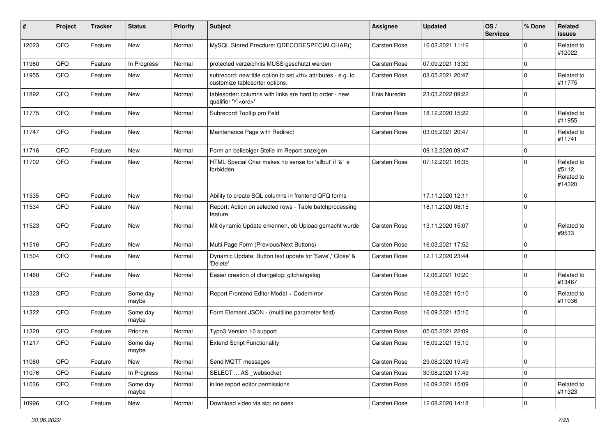| #     | Project | <b>Tracker</b> | <b>Status</b>     | <b>Priority</b> | <b>Subject</b>                                                                                       | <b>Assignee</b>                                        | <b>Updated</b>   | OS/<br><b>Services</b> | % Done      | Related<br>issues                            |                      |
|-------|---------|----------------|-------------------|-----------------|------------------------------------------------------------------------------------------------------|--------------------------------------------------------|------------------|------------------------|-------------|----------------------------------------------|----------------------|
| 12023 | QFQ     | Feature        | <b>New</b>        | Normal          | MySQL Stored Precdure: QDECODESPECIALCHAR()                                                          | Carsten Rose                                           | 16.02.2021 11:16 |                        | 0           | Related to<br>#12022                         |                      |
| 11980 | QFQ     | Feature        | In Progress       | Normal          | protected verzeichnis MUSS geschützt werden                                                          | <b>Carsten Rose</b>                                    | 07.09.2021 13:30 |                        | $\mathbf 0$ |                                              |                      |
| 11955 | QFQ     | Feature        | <b>New</b>        | Normal          | subrecord: new title option to set <th> attributes - e.g. to<br/>customize tablesorter options.</th> | attributes - e.g. to<br>customize tablesorter options. | Carsten Rose     | 03.05.2021 20:47       |             | $\mathbf 0$                                  | Related to<br>#11775 |
| 11892 | QFQ     | Feature        | New               | Normal          | tablesorter: columns with links are hard to order - new<br>qualifier 'Y: <ord>'</ord>                | Enis Nuredini                                          | 23.03.2022 09:22 |                        | $\mathbf 0$ |                                              |                      |
| 11775 | QFQ     | Feature        | <b>New</b>        | Normal          | Subrecord Tooltip pro Feld                                                                           | Carsten Rose                                           | 18.12.2020 15:22 |                        | $\mathbf 0$ | Related to<br>#11955                         |                      |
| 11747 | QFQ     | Feature        | <b>New</b>        | Normal          | Maintenance Page with Redirect                                                                       | <b>Carsten Rose</b>                                    | 03.05.2021 20:47 |                        | $\mathbf 0$ | Related to<br>#11741                         |                      |
| 11716 | QFQ     | Feature        | <b>New</b>        | Normal          | Form an beliebiger Stelle im Report anzeigen                                                         |                                                        | 09.12.2020 09:47 |                        | $\mathbf 0$ |                                              |                      |
| 11702 | QFQ     | Feature        | New               | Normal          | HTML Special Char makes no sense for 'allbut' if '&' is<br>forbidden                                 | Carsten Rose                                           | 07.12.2021 16:35 |                        | $\mathbf 0$ | Related to<br>#5112,<br>Related to<br>#14320 |                      |
| 11535 | QFQ     | Feature        | <b>New</b>        | Normal          | Ability to create SQL columns in frontend QFQ forms                                                  |                                                        | 17.11.2020 12:11 |                        | $\mathbf 0$ |                                              |                      |
| 11534 | QFQ     | Feature        | <b>New</b>        | Normal          | Report: Action on selected rows - Table batchprocessing<br>feature                                   |                                                        | 18.11.2020 08:15 |                        | $\Omega$    |                                              |                      |
| 11523 | QFQ     | Feature        | New               | Normal          | Mit dynamic Update erkennen, ob Upload gemacht wurde                                                 | <b>Carsten Rose</b>                                    | 13.11.2020 15:07 |                        | $\mathbf 0$ | Related to<br>#9533                          |                      |
| 11516 | QFQ     | Feature        | <b>New</b>        | Normal          | Multi Page Form (Previous/Next Buttons)                                                              | Carsten Rose                                           | 16.03.2021 17:52 |                        | 0           |                                              |                      |
| 11504 | QFQ     | Feature        | New               | Normal          | Dynamic Update: Button text update for 'Save',' Close' &<br>'Delete'                                 | <b>Carsten Rose</b>                                    | 12.11.2020 23:44 |                        | $\mathbf 0$ |                                              |                      |
| 11460 | QFQ     | Feature        | <b>New</b>        | Normal          | Easier creation of changelog: gitchangelog                                                           | <b>Carsten Rose</b>                                    | 12.06.2021 10:20 |                        | $\mathbf 0$ | Related to<br>#13467                         |                      |
| 11323 | QFQ     | Feature        | Some day<br>maybe | Normal          | Report Frontend Editor Modal + Codemirror                                                            | <b>Carsten Rose</b>                                    | 16.09.2021 15:10 |                        | $\mathbf 0$ | Related to<br>#11036                         |                      |
| 11322 | QFQ     | Feature        | Some day<br>maybe | Normal          | Form Element JSON - (multiline parameter field)                                                      | <b>Carsten Rose</b>                                    | 16.09.2021 15:10 |                        | 0           |                                              |                      |
| 11320 | QFQ     | Feature        | Priorize          | Normal          | Typo3 Version 10 support                                                                             | <b>Carsten Rose</b>                                    | 05.05.2021 22:09 |                        | $\pmb{0}$   |                                              |                      |
| 11217 | QFQ     | Feature        | Some day<br>maybe | Normal          | <b>Extend Script Functionality</b>                                                                   | <b>Carsten Rose</b>                                    | 16.09.2021 15:10 |                        | $\mathbf 0$ |                                              |                      |
| 11080 | QFQ     | Feature        | <b>New</b>        | Normal          | Send MQTT messages                                                                                   | <b>Carsten Rose</b>                                    | 29.08.2020 19:49 |                        | $\pmb{0}$   |                                              |                      |
| 11076 | QFQ     | Feature        | In Progress       | Normal          | SELECT  AS _websocket                                                                                | Carsten Rose                                           | 30.08.2020 17:49 |                        | $\pmb{0}$   |                                              |                      |
| 11036 | QFQ     | Feature        | Some day<br>maybe | Normal          | inline report editor permissions                                                                     | Carsten Rose                                           | 16.09.2021 15:09 |                        | $\mathbf 0$ | Related to<br>#11323                         |                      |
| 10996 | QFQ     | Feature        | New               | Normal          | Download video via sip: no seek                                                                      | Carsten Rose                                           | 12.08.2020 14:18 |                        | $\pmb{0}$   |                                              |                      |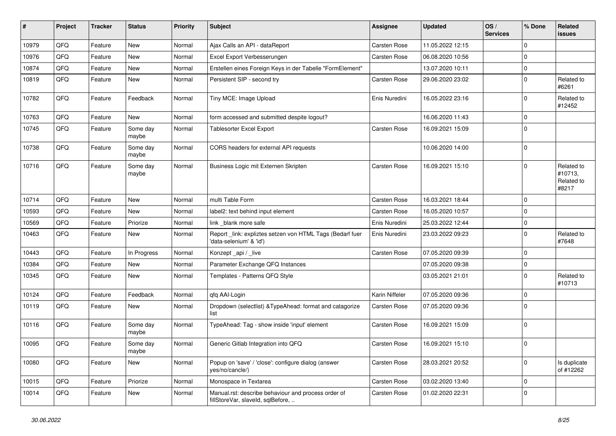| #     | Project | <b>Tracker</b> | <b>Status</b>     | <b>Priority</b> | <b>Subject</b>                                                                           | <b>Assignee</b>     | <b>Updated</b>   | OS/<br><b>Services</b> | % Done      | Related<br>issues                            |
|-------|---------|----------------|-------------------|-----------------|------------------------------------------------------------------------------------------|---------------------|------------------|------------------------|-------------|----------------------------------------------|
| 10979 | QFQ     | Feature        | <b>New</b>        | Normal          | Ajax Calls an API - dataReport                                                           | Carsten Rose        | 11.05.2022 12:15 |                        | $\Omega$    |                                              |
| 10976 | QFQ     | Feature        | <b>New</b>        | Normal          | Excel Export Verbesserungen                                                              | <b>Carsten Rose</b> | 06.08.2020 10:56 |                        | $\Omega$    |                                              |
| 10874 | QFQ     | Feature        | New               | Normal          | Erstellen eines Foreign Keys in der Tabelle "FormElement"                                |                     | 13.07.2020 10:11 |                        | $\mathbf 0$ |                                              |
| 10819 | QFQ     | Feature        | New               | Normal          | Persistent SIP - second try                                                              | <b>Carsten Rose</b> | 29.06.2020 23:02 |                        | $\Omega$    | Related to<br>#6261                          |
| 10782 | QFQ     | Feature        | Feedback          | Normal          | Tiny MCE: Image Upload                                                                   | Enis Nuredini       | 16.05.2022 23:16 |                        | $\Omega$    | Related to<br>#12452                         |
| 10763 | QFQ     | Feature        | New               | Normal          | form accessed and submitted despite logout?                                              |                     | 16.06.2020 11:43 |                        | $\Omega$    |                                              |
| 10745 | QFQ     | Feature        | Some day<br>maybe | Normal          | Tablesorter Excel Export                                                                 | <b>Carsten Rose</b> | 16.09.2021 15:09 |                        | $\Omega$    |                                              |
| 10738 | QFQ     | Feature        | Some day<br>maybe | Normal          | CORS headers for external API requests                                                   |                     | 10.06.2020 14:00 |                        | $\Omega$    |                                              |
| 10716 | QFQ     | Feature        | Some day<br>maybe | Normal          | Business Logic mit Externen Skripten                                                     | <b>Carsten Rose</b> | 16.09.2021 15:10 |                        | $\Omega$    | Related to<br>#10713,<br>Related to<br>#8217 |
| 10714 | QFQ     | Feature        | <b>New</b>        | Normal          | multi Table Form                                                                         | <b>Carsten Rose</b> | 16.03.2021 18:44 |                        | $\Omega$    |                                              |
| 10593 | QFQ     | Feature        | New               | Normal          | label2: text behind input element                                                        | <b>Carsten Rose</b> | 16.05.2020 10:57 |                        | $\Omega$    |                                              |
| 10569 | QFQ     | Feature        | Priorize          | Normal          | link _blank more safe                                                                    | Enis Nuredini       | 25.03.2022 12:44 |                        | $\Omega$    |                                              |
| 10463 | QFQ     | Feature        | New               | Normal          | Report_link: expliztes setzen von HTML Tags (Bedarf fuer<br>'data-selenium' & 'id')      | Enis Nuredini       | 23.03.2022 09:23 |                        | $\Omega$    | Related to<br>#7648                          |
| 10443 | QFQ     | Feature        | In Progress       | Normal          | Konzept _api / _live                                                                     | <b>Carsten Rose</b> | 07.05.2020 09:39 |                        | $\Omega$    |                                              |
| 10384 | QFQ     | Feature        | <b>New</b>        | Normal          | Parameter Exchange QFQ Instances                                                         |                     | 07.05.2020 09:38 |                        | 0           |                                              |
| 10345 | QFQ     | Feature        | New               | Normal          | Templates - Patterns QFQ Style                                                           |                     | 03.05.2021 21:01 |                        | $\Omega$    | Related to<br>#10713                         |
| 10124 | QFQ     | Feature        | Feedback          | Normal          | qfq AAI-Login                                                                            | Karin Niffeler      | 07.05.2020 09:36 |                        | $\Omega$    |                                              |
| 10119 | QFQ     | Feature        | New               | Normal          | Dropdown (selectlist) & TypeAhead: format and catagorize<br>list                         | <b>Carsten Rose</b> | 07.05.2020 09:36 |                        | $\Omega$    |                                              |
| 10116 | QFQ     | Feature        | Some day<br>maybe | Normal          | TypeAhead: Tag - show inside 'input' element                                             | Carsten Rose        | 16.09.2021 15:09 |                        | $\mathbf 0$ |                                              |
| 10095 | QFQ     | Feature        | Some day<br>maybe | Normal          | Generic Gitlab Integration into QFQ                                                      | <b>Carsten Rose</b> | 16.09.2021 15:10 |                        | $\mathbf 0$ |                                              |
| 10080 | QFQ     | Feature        | New               | Normal          | Popup on 'save' / 'close': configure dialog (answer<br>yes/no/cancle/)                   | Carsten Rose        | 28.03.2021 20:52 |                        | 0           | Is duplicate<br>of #12262                    |
| 10015 | QFQ     | Feature        | Priorize          | Normal          | Monospace in Textarea                                                                    | Carsten Rose        | 03.02.2020 13:40 |                        | 0           |                                              |
| 10014 | QFQ     | Feature        | New               | Normal          | Manual.rst: describe behaviour and process order of<br>fillStoreVar, slaveId, sqlBefore, | Carsten Rose        | 01.02.2020 22:31 |                        | $\mathbf 0$ |                                              |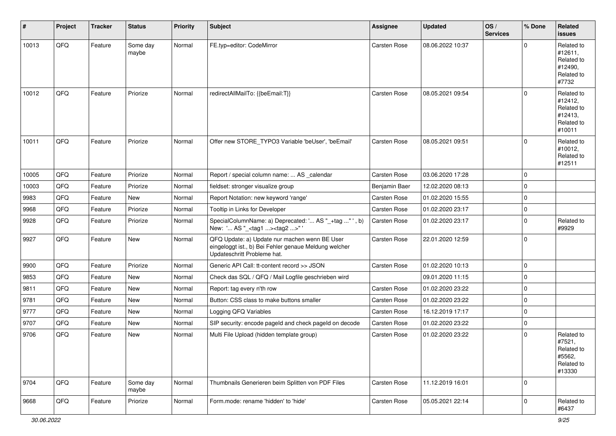| $\sharp$ | Project | <b>Tracker</b> | <b>Status</b>     | Priority | <b>Subject</b>                                                                                                                        | Assignee            | <b>Updated</b>   | OS/<br><b>Services</b> | % Done      | Related<br><b>issues</b>                                               |
|----------|---------|----------------|-------------------|----------|---------------------------------------------------------------------------------------------------------------------------------------|---------------------|------------------|------------------------|-------------|------------------------------------------------------------------------|
| 10013    | QFQ     | Feature        | Some day<br>maybe | Normal   | FE.typ=editor: CodeMirror                                                                                                             | Carsten Rose        | 08.06.2022 10:37 |                        | $\Omega$    | Related to<br>#12611,<br>Related to<br>#12490,<br>Related to<br>#7732  |
| 10012    | QFQ     | Feature        | Priorize          | Normal   | redirectAllMailTo: {{beEmail:T}}                                                                                                      | Carsten Rose        | 08.05.2021 09:54 |                        | $\mathbf 0$ | Related to<br>#12412,<br>Related to<br>#12413.<br>Related to<br>#10011 |
| 10011    | QFQ     | Feature        | Priorize          | Normal   | Offer new STORE_TYPO3 Variable 'beUser', 'beEmail'                                                                                    | Carsten Rose        | 08.05.2021 09:51 |                        | $\Omega$    | Related to<br>#10012,<br>Related to<br>#12511                          |
| 10005    | QFQ     | Feature        | Priorize          | Normal   | Report / special column name:  AS _calendar                                                                                           | Carsten Rose        | 03.06.2020 17:28 |                        | $\mathbf 0$ |                                                                        |
| 10003    | QFQ     | Feature        | Priorize          | Normal   | fieldset: stronger visualize group                                                                                                    | Benjamin Baer       | 12.02.2020 08:13 |                        | $\Omega$    |                                                                        |
| 9983     | QFQ     | Feature        | New               | Normal   | Report Notation: new keyword 'range'                                                                                                  | Carsten Rose        | 01.02.2020 15:55 |                        | $\mathbf 0$ |                                                                        |
| 9968     | QFQ     | Feature        | Priorize          | Normal   | Tooltip in Links for Developer                                                                                                        | Carsten Rose        | 01.02.2020 23:17 |                        | $\mathbf 0$ |                                                                        |
| 9928     | QFQ     | Feature        | Priorize          | Normal   | SpecialColumnName: a) Deprecated: ' AS "_+tag "', b)<br>New: ' AS "_ <tag1><tag2>"'</tag2></tag1>                                     | Carsten Rose        | 01.02.2020 23:17 |                        | $\mathbf 0$ | Related to<br>#9929                                                    |
| 9927     | QFQ     | Feature        | New               | Normal   | QFQ Update: a) Update nur machen wenn BE User<br>eingeloggt ist., b) Bei Fehler genaue Meldung welcher<br>Updateschritt Probleme hat. | <b>Carsten Rose</b> | 22.01.2020 12:59 |                        | $\mathbf 0$ |                                                                        |
| 9900     | QFQ     | Feature        | Priorize          | Normal   | Generic API Call: tt-content record >> JSON                                                                                           | Carsten Rose        | 01.02.2020 10:13 |                        | $\mathbf 0$ |                                                                        |
| 9853     | QFQ     | Feature        | New               | Normal   | Check das SQL / QFQ / Mail Logfile geschrieben wird                                                                                   |                     | 09.01.2020 11:15 |                        | $\mathbf 0$ |                                                                        |
| 9811     | QFQ     | Feature        | <b>New</b>        | Normal   | Report: tag every n'th row                                                                                                            | Carsten Rose        | 01.02.2020 23:22 |                        | $\mathbf 0$ |                                                                        |
| 9781     | QFQ     | Feature        | New               | Normal   | Button: CSS class to make buttons smaller                                                                                             | Carsten Rose        | 01.02.2020 23:22 |                        | $\mathbf 0$ |                                                                        |
| 9777     | QFQ     | Feature        | New               | Normal   | Logging QFQ Variables                                                                                                                 | Carsten Rose        | 16.12.2019 17:17 |                        | $\mathbf 0$ |                                                                        |
| 9707     | QFQ     | Feature        | New               | Normal   | SIP security: encode pageld and check pageld on decode                                                                                | Carsten Rose        | 01.02.2020 23:22 |                        | $\mathbf 0$ |                                                                        |
| 9706     | QFQ     | Feature        | New               | Normal   | Multi File Upload (hidden template group)                                                                                             | Carsten Rose        | 01.02.2020 23:22 |                        | $\Omega$    | Related to<br>#7521,<br>Related to<br>#5562,<br>Related to<br>#13330   |
| 9704     | QFG     | Feature        | Some day<br>maybe | Normal   | Thumbnails Generieren beim Splitten von PDF Files                                                                                     | Carsten Rose        | 11.12.2019 16:01 |                        | $\mathbf 0$ |                                                                        |
| 9668     | QFQ     | Feature        | Priorize          | Normal   | Form.mode: rename 'hidden' to 'hide'                                                                                                  | Carsten Rose        | 05.05.2021 22:14 |                        | 0           | Related to<br>#6437                                                    |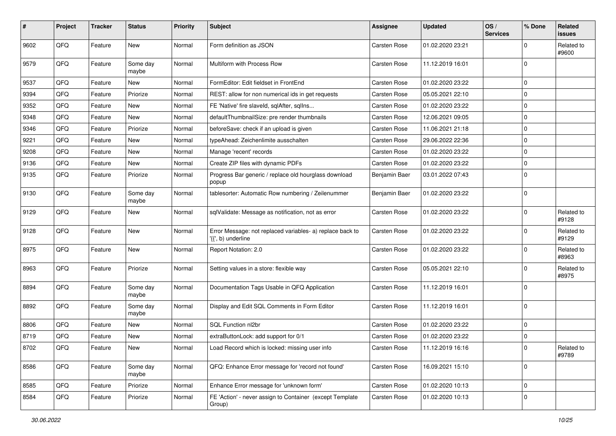| #    | Project | <b>Tracker</b> | <b>Status</b>     | <b>Priority</b> | Subject                                                                         | Assignee      | <b>Updated</b>   | OS/<br><b>Services</b> | % Done      | Related<br>issues   |
|------|---------|----------------|-------------------|-----------------|---------------------------------------------------------------------------------|---------------|------------------|------------------------|-------------|---------------------|
| 9602 | QFQ     | Feature        | New               | Normal          | Form definition as JSON                                                         | Carsten Rose  | 01.02.2020 23:21 |                        | $\Omega$    | Related to<br>#9600 |
| 9579 | QFQ     | Feature        | Some day<br>maybe | Normal          | Multiform with Process Row                                                      | Carsten Rose  | 11.12.2019 16:01 |                        | $\mathbf 0$ |                     |
| 9537 | QFQ     | Feature        | New               | Normal          | FormEditor: Edit fieldset in FrontEnd                                           | Carsten Rose  | 01.02.2020 23:22 |                        | $\Omega$    |                     |
| 9394 | QFQ     | Feature        | Priorize          | Normal          | REST: allow for non numerical ids in get requests                               | Carsten Rose  | 05.05.2021 22:10 |                        | $\mathbf 0$ |                     |
| 9352 | QFQ     | Feature        | New               | Normal          | FE 'Native' fire slaveld, sqlAfter, sqlIns                                      | Carsten Rose  | 01.02.2020 23:22 |                        | $\Omega$    |                     |
| 9348 | QFQ     | Feature        | <b>New</b>        | Normal          | defaultThumbnailSize: pre render thumbnails                                     | Carsten Rose  | 12.06.2021 09:05 |                        | $\mathbf 0$ |                     |
| 9346 | QFQ     | Feature        | Priorize          | Normal          | beforeSave: check if an upload is given                                         | Carsten Rose  | 11.06.2021 21:18 |                        | $\mathbf 0$ |                     |
| 9221 | QFQ     | Feature        | New               | Normal          | typeAhead: Zeichenlimite ausschalten                                            | Carsten Rose  | 29.06.2022 22:36 |                        | $\Omega$    |                     |
| 9208 | QFQ     | Feature        | New               | Normal          | Manage 'recent' records                                                         | Carsten Rose  | 01.02.2020 23:22 |                        | $\mathbf 0$ |                     |
| 9136 | QFQ     | Feature        | New               | Normal          | Create ZIP files with dynamic PDFs                                              | Carsten Rose  | 01.02.2020 23:22 |                        | $\Omega$    |                     |
| 9135 | QFQ     | Feature        | Priorize          | Normal          | Progress Bar generic / replace old hourglass download<br>popup                  | Benjamin Baer | 03.01.2022 07:43 |                        | $\Omega$    |                     |
| 9130 | QFQ     | Feature        | Some day<br>maybe | Normal          | tablesorter: Automatic Row numbering / Zeilenummer                              | Benjamin Baer | 01.02.2020 23:22 |                        | $\mathbf 0$ |                     |
| 9129 | QFQ     | Feature        | New               | Normal          | sqlValidate: Message as notification, not as error                              | Carsten Rose  | 01.02.2020 23:22 |                        | $\mathbf 0$ | Related to<br>#9128 |
| 9128 | QFQ     | Feature        | New               | Normal          | Error Message: not replaced variables- a) replace back to<br>'{{', b) underline | Carsten Rose  | 01.02.2020 23:22 |                        | $\mathbf 0$ | Related to<br>#9129 |
| 8975 | QFQ     | Feature        | New               | Normal          | Report Notation: 2.0                                                            | Carsten Rose  | 01.02.2020 23:22 |                        | $\Omega$    | Related to<br>#8963 |
| 8963 | QFQ     | Feature        | Priorize          | Normal          | Setting values in a store: flexible way                                         | Carsten Rose  | 05.05.2021 22:10 |                        | $\mathbf 0$ | Related to<br>#8975 |
| 8894 | QFQ     | Feature        | Some day<br>maybe | Normal          | Documentation Tags Usable in QFQ Application                                    | Carsten Rose  | 11.12.2019 16:01 |                        | $\Omega$    |                     |
| 8892 | QFQ     | Feature        | Some day<br>maybe | Normal          | Display and Edit SQL Comments in Form Editor                                    | Carsten Rose  | 11.12.2019 16:01 |                        | $\Omega$    |                     |
| 8806 | QFQ     | Feature        | New               | Normal          | SQL Function nl2br                                                              | Carsten Rose  | 01.02.2020 23:22 |                        | $\mathbf 0$ |                     |
| 8719 | QFQ     | Feature        | New               | Normal          | extraButtonLock: add support for 0/1                                            | Carsten Rose  | 01.02.2020 23:22 |                        | $\mathbf 0$ |                     |
| 8702 | QFQ     | Feature        | New               | Normal          | Load Record which is locked: missing user info                                  | Carsten Rose  | 11.12.2019 16:16 |                        | $\Omega$    | Related to<br>#9789 |
| 8586 | QFQ     | Feature        | Some day<br>maybe | Normal          | QFQ: Enhance Error message for 'record not found'                               | Carsten Rose  | 16.09.2021 15:10 |                        | $\mathbf 0$ |                     |
| 8585 | QFQ     | Feature        | Priorize          | Normal          | Enhance Error message for 'unknown form'                                        | Carsten Rose  | 01.02.2020 10:13 |                        | $\mathbf 0$ |                     |
| 8584 | QFQ     | Feature        | Priorize          | Normal          | FE 'Action' - never assign to Container (except Template<br>Group)              | Carsten Rose  | 01.02.2020 10:13 |                        | $\mathbf 0$ |                     |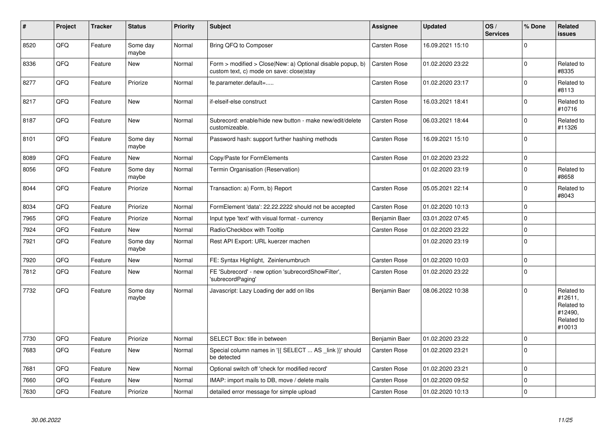| $\vert$ # | Project | <b>Tracker</b> | <b>Status</b>     | <b>Priority</b> | <b>Subject</b>                                                                                         | <b>Assignee</b>     | <b>Updated</b>   | OS/<br><b>Services</b> | % Done   | Related<br><b>issues</b>                                               |
|-----------|---------|----------------|-------------------|-----------------|--------------------------------------------------------------------------------------------------------|---------------------|------------------|------------------------|----------|------------------------------------------------------------------------|
| 8520      | QFQ     | Feature        | Some day<br>maybe | Normal          | Bring QFQ to Composer                                                                                  | <b>Carsten Rose</b> | 16.09.2021 15:10 |                        | $\Omega$ |                                                                        |
| 8336      | QFQ     | Feature        | New               | Normal          | Form > modified > Close New: a) Optional disable popup, b)<br>custom text, c) mode on save: close stay | <b>Carsten Rose</b> | 01.02.2020 23:22 |                        | $\Omega$ | Related to<br>#8335                                                    |
| 8277      | QFQ     | Feature        | Priorize          | Normal          | fe.parameter.default=                                                                                  | Carsten Rose        | 01.02.2020 23:17 |                        | $\Omega$ | Related to<br>#8113                                                    |
| 8217      | QFQ     | Feature        | <b>New</b>        | Normal          | if-elseif-else construct                                                                               | Carsten Rose        | 16.03.2021 18:41 |                        | $\Omega$ | Related to<br>#10716                                                   |
| 8187      | QFQ     | Feature        | <b>New</b>        | Normal          | Subrecord: enable/hide new button - make new/edit/delete<br>customizeable.                             | <b>Carsten Rose</b> | 06.03.2021 18:44 |                        | $\Omega$ | Related to<br>#11326                                                   |
| 8101      | QFQ     | Feature        | Some day<br>maybe | Normal          | Password hash: support further hashing methods                                                         | <b>Carsten Rose</b> | 16.09.2021 15:10 |                        | $\Omega$ |                                                                        |
| 8089      | QFQ     | Feature        | <b>New</b>        | Normal          | Copy/Paste for FormElements                                                                            | Carsten Rose        | 01.02.2020 23:22 |                        | $\Omega$ |                                                                        |
| 8056      | QFQ     | Feature        | Some day<br>maybe | Normal          | Termin Organisation (Reservation)                                                                      |                     | 01.02.2020 23:19 |                        | $\Omega$ | Related to<br>#8658                                                    |
| 8044      | QFQ     | Feature        | Priorize          | Normal          | Transaction: a) Form, b) Report                                                                        | Carsten Rose        | 05.05.2021 22:14 |                        | $\Omega$ | Related to<br>#8043                                                    |
| 8034      | QFQ     | Feature        | Priorize          | Normal          | FormElement 'data': 22.22.2222 should not be accepted                                                  | Carsten Rose        | 01.02.2020 10:13 |                        | $\Omega$ |                                                                        |
| 7965      | QFQ     | Feature        | Priorize          | Normal          | Input type 'text' with visual format - currency                                                        | Benjamin Baer       | 03.01.2022 07:45 |                        | $\Omega$ |                                                                        |
| 7924      | QFQ     | Feature        | <b>New</b>        | Normal          | Radio/Checkbox with Tooltip                                                                            | <b>Carsten Rose</b> | 01.02.2020 23:22 |                        | $\Omega$ |                                                                        |
| 7921      | QFO     | Feature        | Some day<br>maybe | Normal          | Rest API Export: URL kuerzer machen                                                                    |                     | 01.02.2020 23:19 |                        | $\Omega$ |                                                                        |
| 7920      | QFQ     | Feature        | <b>New</b>        | Normal          | FE: Syntax Highlight, Zeinlenumbruch                                                                   | <b>Carsten Rose</b> | 01.02.2020 10:03 |                        | $\Omega$ |                                                                        |
| 7812      | QFQ     | Feature        | New               | Normal          | FE 'Subrecord' - new option 'subrecordShowFilter',<br>'subrecordPaging'                                | Carsten Rose        | 01.02.2020 23:22 |                        | $\Omega$ |                                                                        |
| 7732      | QFQ     | Feature        | Some day<br>maybe | Normal          | Javascript: Lazy Loading der add on libs                                                               | Benjamin Baer       | 08.06.2022 10:38 |                        | $\Omega$ | Related to<br>#12611,<br>Related to<br>#12490,<br>Related to<br>#10013 |
| 7730      | QFQ     | Feature        | Priorize          | Normal          | SELECT Box: title in between                                                                           | Benjamin Baer       | 01.02.2020 23:22 |                        | $\Omega$ |                                                                        |
| 7683      | QFQ     | Feature        | New               | Normal          | Special column names in '{{ SELECT  AS _link }}' should<br>be detected                                 | Carsten Rose        | 01.02.2020 23:21 |                        | $\Omega$ |                                                                        |
| 7681      | QFQ     | Feature        | New               | Normal          | Optional switch off 'check for modified record'                                                        | <b>Carsten Rose</b> | 01.02.2020 23:21 |                        | $\Omega$ |                                                                        |
| 7660      | QFQ     | Feature        | New               | Normal          | IMAP: import mails to DB, move / delete mails                                                          | Carsten Rose        | 01.02.2020 09:52 |                        | $\Omega$ |                                                                        |
| 7630      | QFQ     | Feature        | Priorize          | Normal          | detailed error message for simple upload                                                               | <b>Carsten Rose</b> | 01.02.2020 10:13 |                        | $\Omega$ |                                                                        |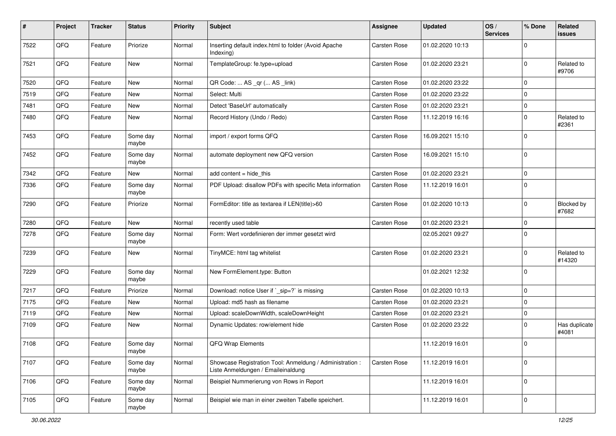| $\vert$ # | Project | <b>Tracker</b> | <b>Status</b>     | <b>Priority</b> | <b>Subject</b>                                                                                 | Assignee            | <b>Updated</b>   | OS/<br><b>Services</b> | % Done      | Related<br>issues      |
|-----------|---------|----------------|-------------------|-----------------|------------------------------------------------------------------------------------------------|---------------------|------------------|------------------------|-------------|------------------------|
| 7522      | QFQ     | Feature        | Priorize          | Normal          | Inserting default index.html to folder (Avoid Apache<br>Indexing)                              | Carsten Rose        | 01.02.2020 10:13 |                        | $\mathbf 0$ |                        |
| 7521      | QFQ     | Feature        | New               | Normal          | TemplateGroup: fe.type=upload                                                                  | <b>Carsten Rose</b> | 01.02.2020 23:21 |                        | $\mathbf 0$ | Related to<br>#9706    |
| 7520      | QFQ     | Feature        | <b>New</b>        | Normal          | QR Code:  AS _qr ( AS _link)                                                                   | Carsten Rose        | 01.02.2020 23:22 |                        | $\mathbf 0$ |                        |
| 7519      | QFQ     | Feature        | New               | Normal          | Select: Multi                                                                                  | Carsten Rose        | 01.02.2020 23:22 |                        | $\mathbf 0$ |                        |
| 7481      | QFQ     | Feature        | New               | Normal          | Detect 'BaseUrl' automatically                                                                 | <b>Carsten Rose</b> | 01.02.2020 23:21 |                        | 0           |                        |
| 7480      | QFQ     | Feature        | New               | Normal          | Record History (Undo / Redo)                                                                   | Carsten Rose        | 11.12.2019 16:16 |                        | $\mathbf 0$ | Related to<br>#2361    |
| 7453      | QFQ     | Feature        | Some day<br>maybe | Normal          | import / export forms QFQ                                                                      | Carsten Rose        | 16.09.2021 15:10 |                        | $\mathbf 0$ |                        |
| 7452      | QFQ     | Feature        | Some day<br>maybe | Normal          | automate deployment new QFQ version                                                            | <b>Carsten Rose</b> | 16.09.2021 15:10 |                        | $\mathbf 0$ |                        |
| 7342      | QFQ     | Feature        | New               | Normal          | $add content = hide this$                                                                      | Carsten Rose        | 01.02.2020 23:21 |                        | $\mathbf 0$ |                        |
| 7336      | QFQ     | Feature        | Some day<br>maybe | Normal          | PDF Upload: disallow PDFs with specific Meta information                                       | Carsten Rose        | 11.12.2019 16:01 |                        | $\mathbf 0$ |                        |
| 7290      | QFQ     | Feature        | Priorize          | Normal          | FormEditor: title as textarea if LEN(title)>60                                                 | Carsten Rose        | 01.02.2020 10:13 |                        | $\mathbf 0$ | Blocked by<br>#7682    |
| 7280      | QFQ     | Feature        | <b>New</b>        | Normal          | recently used table                                                                            | Carsten Rose        | 01.02.2020 23:21 |                        | $\mathbf 0$ |                        |
| 7278      | QFQ     | Feature        | Some day<br>maybe | Normal          | Form: Wert vordefinieren der immer gesetzt wird                                                |                     | 02.05.2021 09:27 |                        | $\mathbf 0$ |                        |
| 7239      | QFQ     | Feature        | New               | Normal          | TinyMCE: html tag whitelist                                                                    | Carsten Rose        | 01.02.2020 23:21 |                        | $\Omega$    | Related to<br>#14320   |
| 7229      | QFQ     | Feature        | Some day<br>maybe | Normal          | New FormElement.type: Button                                                                   |                     | 01.02.2021 12:32 |                        | $\mathbf 0$ |                        |
| 7217      | QFQ     | Feature        | Priorize          | Normal          | Download: notice User if `_sip=?` is missing                                                   | Carsten Rose        | 01.02.2020 10:13 |                        | $\mathbf 0$ |                        |
| 7175      | QFQ     | Feature        | New               | Normal          | Upload: md5 hash as filename                                                                   | Carsten Rose        | 01.02.2020 23:21 |                        | $\Omega$    |                        |
| 7119      | QFQ     | Feature        | New               | Normal          | Upload: scaleDownWidth, scaleDownHeight                                                        | Carsten Rose        | 01.02.2020 23:21 |                        | $\mathbf 0$ |                        |
| 7109      | QFQ     | Feature        | New               | Normal          | Dynamic Updates: row/element hide                                                              | <b>Carsten Rose</b> | 01.02.2020 23:22 |                        | 0           | Has duplicate<br>#4081 |
| 7108      | QFQ     | Feature        | Some day<br>maybe | Normal          | QFQ Wrap Elements                                                                              |                     | 11.12.2019 16:01 |                        | $\mathbf 0$ |                        |
| 7107      | QFQ     | Feature        | Some day<br>maybe | Normal          | Showcase Registration Tool: Anmeldung / Administration :<br>Liste Anmeldungen / Emaileinaldung | Carsten Rose        | 11.12.2019 16:01 |                        | $\mathbf 0$ |                        |
| 7106      | QFQ     | Feature        | Some day<br>maybe | Normal          | Beispiel Nummerierung von Rows in Report                                                       |                     | 11.12.2019 16:01 |                        | $\mathbf 0$ |                        |
| 7105      | QFQ     | Feature        | Some day<br>maybe | Normal          | Beispiel wie man in einer zweiten Tabelle speichert.                                           |                     | 11.12.2019 16:01 |                        | $\mathbf 0$ |                        |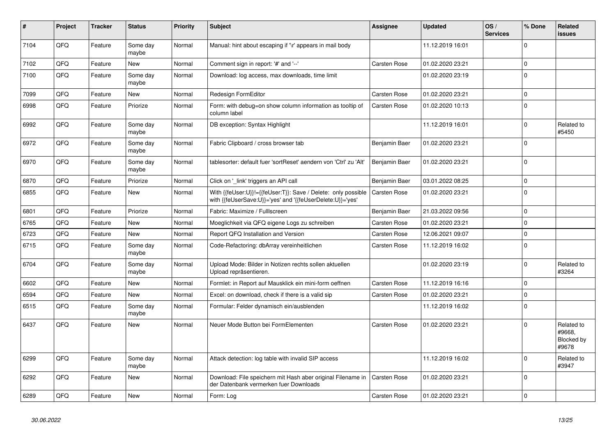| #    | Project | <b>Tracker</b> | <b>Status</b>     | <b>Priority</b> | <b>Subject</b>                                                                                                             | Assignee            | <b>Updated</b>   | OS/<br><b>Services</b> | % Done       | Related<br><b>issues</b>                    |
|------|---------|----------------|-------------------|-----------------|----------------------------------------------------------------------------------------------------------------------------|---------------------|------------------|------------------------|--------------|---------------------------------------------|
| 7104 | QFQ     | Feature        | Some day<br>maybe | Normal          | Manual: hint about escaping if '\r' appears in mail body                                                                   |                     | 11.12.2019 16:01 |                        | $\Omega$     |                                             |
| 7102 | QFQ     | Feature        | <b>New</b>        | Normal          | Comment sign in report: '#' and '--'                                                                                       | <b>Carsten Rose</b> | 01.02.2020 23:21 |                        | $\mathbf 0$  |                                             |
| 7100 | QFQ     | Feature        | Some day<br>maybe | Normal          | Download: log access, max downloads, time limit                                                                            |                     | 01.02.2020 23:19 |                        | $\mathbf 0$  |                                             |
| 7099 | QFQ     | Feature        | <b>New</b>        | Normal          | <b>Redesign FormEditor</b>                                                                                                 | <b>Carsten Rose</b> | 01.02.2020 23:21 |                        | $\mathbf 0$  |                                             |
| 6998 | QFQ     | Feature        | Priorize          | Normal          | Form: with debug=on show column information as tooltip of<br>column label                                                  | <b>Carsten Rose</b> | 01.02.2020 10:13 |                        | $\mathbf 0$  |                                             |
| 6992 | QFQ     | Feature        | Some day<br>maybe | Normal          | DB exception: Syntax Highlight                                                                                             |                     | 11.12.2019 16:01 |                        | $\pmb{0}$    | Related to<br>#5450                         |
| 6972 | QFQ     | Feature        | Some day<br>maybe | Normal          | Fabric Clipboard / cross browser tab                                                                                       | Benjamin Baer       | 01.02.2020 23:21 |                        | $\Omega$     |                                             |
| 6970 | QFQ     | Feature        | Some day<br>maybe | Normal          | tablesorter: default fuer 'sortReset' aendern von 'Ctrl' zu 'Alt'                                                          | Benjamin Baer       | 01.02.2020 23:21 |                        | $\Omega$     |                                             |
| 6870 | QFQ     | Feature        | Priorize          | Normal          | Click on 'link' triggers an API call                                                                                       | Benjamin Baer       | 03.01.2022 08:25 |                        | $\mathbf 0$  |                                             |
| 6855 | QFQ     | Feature        | New               | Normal          | With {{feUser:U}}!={{feUser:T}}: Save / Delete: only possible<br>with {{feUserSave:U}}='yes' and '{{feUserDelete:U}}='yes' | <b>Carsten Rose</b> | 01.02.2020 23:21 |                        | $\mathbf 0$  |                                             |
| 6801 | QFQ     | Feature        | Priorize          | Normal          | Fabric: Maximize / FullIscreen                                                                                             | Benjamin Baer       | 21.03.2022 09:56 |                        | $\mathbf 0$  |                                             |
| 6765 | QFQ     | Feature        | <b>New</b>        | Normal          | Moeglichkeit via QFQ eigene Logs zu schreiben                                                                              | <b>Carsten Rose</b> | 01.02.2020 23:21 |                        | $\mathbf 0$  |                                             |
| 6723 | QFQ     | Feature        | New               | Normal          | Report QFQ Installation and Version                                                                                        | Carsten Rose        | 12.06.2021 09:07 |                        | $\mathbf 0$  |                                             |
| 6715 | QFQ     | Feature        | Some day<br>maybe | Normal          | Code-Refactoring: dbArray vereinheitlichen                                                                                 | Carsten Rose        | 11.12.2019 16:02 |                        | $\mathbf 0$  |                                             |
| 6704 | QFQ     | Feature        | Some day<br>maybe | Normal          | Upload Mode: Bilder in Notizen rechts sollen aktuellen<br>Upload repräsentieren.                                           |                     | 01.02.2020 23:19 |                        | $\Omega$     | Related to<br>#3264                         |
| 6602 | QFQ     | Feature        | <b>New</b>        | Normal          | Formlet: in Report auf Mausklick ein mini-form oeffnen                                                                     | <b>Carsten Rose</b> | 11.12.2019 16:16 |                        | $\mathbf 0$  |                                             |
| 6594 | QFQ     | Feature        | <b>New</b>        | Normal          | Excel: on download, check if there is a valid sip                                                                          | <b>Carsten Rose</b> | 01.02.2020 23:21 |                        | $\mathbf 0$  |                                             |
| 6515 | QFQ     | Feature        | Some day<br>maybe | Normal          | Formular: Felder dynamisch ein/ausblenden                                                                                  |                     | 11.12.2019 16:02 |                        | $\mathbf{0}$ |                                             |
| 6437 | QFQ     | Feature        | New               | Normal          | Neuer Mode Button bei FormElementen                                                                                        | <b>Carsten Rose</b> | 01.02.2020 23:21 |                        | $\Omega$     | Related to<br>#9668,<br>Blocked by<br>#9678 |
| 6299 | QFQ     | Feature        | Some day<br>maybe | Normal          | Attack detection: log table with invalid SIP access                                                                        |                     | 11.12.2019 16:02 |                        | $\Omega$     | Related to<br>#3947                         |
| 6292 | QFQ     | Feature        | New               | Normal          | Download: File speichern mit Hash aber original Filename in<br>der Datenbank vermerken fuer Downloads                      | <b>Carsten Rose</b> | 01.02.2020 23:21 |                        | $\mathbf 0$  |                                             |
| 6289 | QFQ     | Feature        | New               | Normal          | Form: Log                                                                                                                  | <b>Carsten Rose</b> | 01.02.2020 23:21 |                        | $\mathbf 0$  |                                             |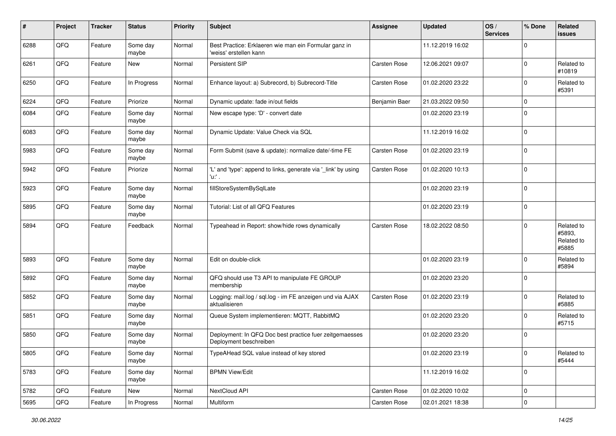| #    | Project | <b>Tracker</b> | <b>Status</b>     | <b>Priority</b> | <b>Subject</b>                                                                    | <b>Assignee</b>     | <b>Updated</b>   | OS/<br><b>Services</b> | % Done      | Related<br>issues                           |
|------|---------|----------------|-------------------|-----------------|-----------------------------------------------------------------------------------|---------------------|------------------|------------------------|-------------|---------------------------------------------|
| 6288 | QFQ     | Feature        | Some day<br>maybe | Normal          | Best Practice: Erklaeren wie man ein Formular ganz in<br>'weiss' erstellen kann   |                     | 11.12.2019 16:02 |                        | $\mathbf 0$ |                                             |
| 6261 | QFQ     | Feature        | New               | Normal          | Persistent SIP                                                                    | <b>Carsten Rose</b> | 12.06.2021 09:07 |                        | $\mathbf 0$ | Related to<br>#10819                        |
| 6250 | QFQ     | Feature        | In Progress       | Normal          | Enhance layout: a) Subrecord, b) Subrecord-Title                                  | Carsten Rose        | 01.02.2020 23:22 |                        | $\mathbf 0$ | Related to<br>#5391                         |
| 6224 | QFQ     | Feature        | Priorize          | Normal          | Dynamic update: fade in/out fields                                                | Benjamin Baer       | 21.03.2022 09:50 |                        | $\mathbf 0$ |                                             |
| 6084 | QFQ     | Feature        | Some day<br>maybe | Normal          | New escape type: 'D' - convert date                                               |                     | 01.02.2020 23:19 |                        | $\Omega$    |                                             |
| 6083 | QFQ     | Feature        | Some day<br>maybe | Normal          | Dynamic Update: Value Check via SQL                                               |                     | 11.12.2019 16:02 |                        | $\mathbf 0$ |                                             |
| 5983 | QFQ     | Feature        | Some day<br>maybe | Normal          | Form Submit (save & update): normalize date/-time FE                              | <b>Carsten Rose</b> | 01.02.2020 23:19 |                        | $\mathbf 0$ |                                             |
| 5942 | QFQ     | Feature        | Priorize          | Normal          | 'L' and 'type': append to links, generate via '_link' by using<br>'u:' .          | Carsten Rose        | 01.02.2020 10:13 |                        | $\mathbf 0$ |                                             |
| 5923 | QFQ     | Feature        | Some day<br>maybe | Normal          | fillStoreSystemBySqlLate                                                          |                     | 01.02.2020 23:19 |                        | 0           |                                             |
| 5895 | QFQ     | Feature        | Some day<br>maybe | Normal          | Tutorial: List of all QFQ Features                                                |                     | 01.02.2020 23:19 |                        | $\mathbf 0$ |                                             |
| 5894 | QFQ     | Feature        | Feedback          | Normal          | Typeahead in Report: show/hide rows dynamically                                   | <b>Carsten Rose</b> | 18.02.2022 08:50 |                        | $\mathbf 0$ | Related to<br>#5893,<br>Related to<br>#5885 |
| 5893 | QFQ     | Feature        | Some day<br>maybe | Normal          | Edit on double-click                                                              |                     | 01.02.2020 23:19 |                        | $\mathbf 0$ | Related to<br>#5894                         |
| 5892 | QFQ     | Feature        | Some day<br>maybe | Normal          | QFQ should use T3 API to manipulate FE GROUP<br>membership                        |                     | 01.02.2020 23:20 |                        | $\mathbf 0$ |                                             |
| 5852 | QFQ     | Feature        | Some day<br>maybe | Normal          | Logging: mail.log / sql.log - im FE anzeigen und via AJAX<br>aktualisieren        | <b>Carsten Rose</b> | 01.02.2020 23:19 |                        | $\mathbf 0$ | Related to<br>#5885                         |
| 5851 | QFQ     | Feature        | Some day<br>maybe | Normal          | Queue System implementieren: MQTT, RabbitMQ                                       |                     | 01.02.2020 23:20 |                        | $\Omega$    | Related to<br>#5715                         |
| 5850 | QFQ     | Feature        | Some day<br>maybe | Normal          | Deployment: In QFQ Doc best practice fuer zeitgemaesses<br>Deployment beschreiben |                     | 01.02.2020 23:20 |                        | $\mathbf 0$ |                                             |
| 5805 | QFQ     | Feature        | Some day<br>maybe | Normal          | TypeAHead SQL value instead of key stored                                         |                     | 01.02.2020 23:19 |                        | $\mathbf 0$ | Related to<br>#5444                         |
| 5783 | QFG     | Feature        | Some day<br>maybe | Normal          | <b>BPMN View/Edit</b>                                                             |                     | 11.12.2019 16:02 |                        | $\mathbf 0$ |                                             |
| 5782 | QFQ     | Feature        | New               | Normal          | NextCloud API                                                                     | Carsten Rose        | 01.02.2020 10:02 |                        | $\pmb{0}$   |                                             |
| 5695 | QFQ     | Feature        | In Progress       | Normal          | Multiform                                                                         | Carsten Rose        | 02.01.2021 18:38 |                        | $\pmb{0}$   |                                             |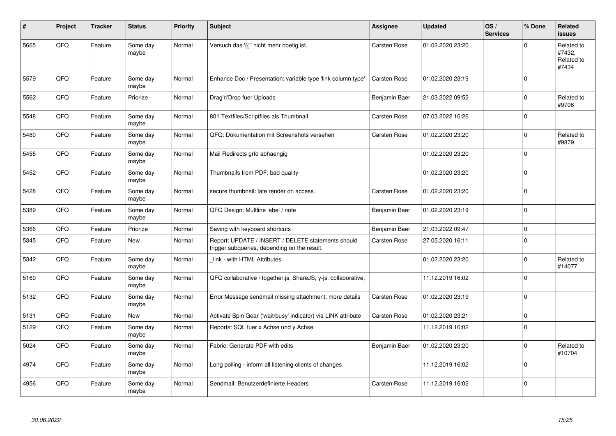| #    | Project | <b>Tracker</b> | <b>Status</b>     | <b>Priority</b> | <b>Subject</b>                                                                                     | <b>Assignee</b>     | <b>Updated</b>   | OS/<br><b>Services</b> | % Done      | Related<br><b>issues</b>                    |
|------|---------|----------------|-------------------|-----------------|----------------------------------------------------------------------------------------------------|---------------------|------------------|------------------------|-------------|---------------------------------------------|
| 5665 | QFQ     | Feature        | Some day<br>maybe | Normal          | Versuch das '{{!' nicht mehr noetig ist.                                                           | <b>Carsten Rose</b> | 01.02.2020 23:20 |                        | $\Omega$    | Related to<br>#7432,<br>Related to<br>#7434 |
| 5579 | QFQ     | Feature        | Some day<br>maybe | Normal          | Enhance Doc / Presentation: variable type 'link column type'                                       | <b>Carsten Rose</b> | 01.02.2020 23:19 |                        | $\Omega$    |                                             |
| 5562 | QFQ     | Feature        | Priorize          | Normal          | Drag'n'Drop fuer Uploads                                                                           | Benjamin Baer       | 21.03.2022 09:52 |                        | $\Omega$    | Related to<br>#9706                         |
| 5548 | QFQ     | Feature        | Some day<br>maybe | Normal          | 801 Textfiles/Scriptfiles als Thumbnail                                                            | <b>Carsten Rose</b> | 07.03.2022 16:26 |                        | $\Omega$    |                                             |
| 5480 | QFQ     | Feature        | Some day<br>maybe | Normal          | QFQ: Dokumentation mit Screenshots versehen                                                        | <b>Carsten Rose</b> | 01.02.2020 23:20 |                        | $\Omega$    | Related to<br>#9879                         |
| 5455 | QFQ     | Feature        | Some day<br>maybe | Normal          | Mail Redirects grld abhaengig                                                                      |                     | 01.02.2020 23:20 |                        | $\mathbf 0$ |                                             |
| 5452 | QFQ     | Feature        | Some day<br>maybe | Normal          | Thumbnails from PDF: bad quality                                                                   |                     | 01.02.2020 23:20 |                        | $\Omega$    |                                             |
| 5428 | QFQ     | Feature        | Some day<br>maybe | Normal          | secure thumbnail: late render on access.                                                           | Carsten Rose        | 01.02.2020 23:20 |                        | $\mathbf 0$ |                                             |
| 5389 | QFQ     | Feature        | Some day<br>maybe | Normal          | QFQ Design: Multline label / note                                                                  | Benjamin Baer       | 01.02.2020 23:19 |                        | $\Omega$    |                                             |
| 5366 | QFQ     | Feature        | Priorize          | Normal          | Saving with keyboard shortcuts                                                                     | Benjamin Baer       | 21.03.2022 09:47 |                        | $\mathbf 0$ |                                             |
| 5345 | QFQ     | Feature        | New               | Normal          | Report: UPDATE / INSERT / DELETE statements should<br>trigger subqueries, depending on the result. | <b>Carsten Rose</b> | 27.05.2020 16:11 |                        | $\Omega$    |                                             |
| 5342 | QFQ     | Feature        | Some day<br>maybe | Normal          | link - with HTML Attributes                                                                        |                     | 01.02.2020 23:20 |                        | $\mathbf 0$ | Related to<br>#14077                        |
| 5160 | QFQ     | Feature        | Some day<br>maybe | Normal          | QFQ collaborative / together.js, ShareJS, y-js, collaborative,                                     |                     | 11.12.2019 16:02 |                        | $\Omega$    |                                             |
| 5132 | QFQ     | Feature        | Some day<br>maybe | Normal          | Error Message sendmail missing attachment: more details                                            | Carsten Rose        | 01.02.2020 23:19 |                        | $\Omega$    |                                             |
| 5131 | QFQ     | Feature        | <b>New</b>        | Normal          | Activate Spin Gear ('wait/busy' indicator) via LINK attribute                                      | <b>Carsten Rose</b> | 01.02.2020 23:21 |                        | $\Omega$    |                                             |
| 5129 | QFQ     | Feature        | Some day<br>maybe | Normal          | Reports: SQL fuer x Achse und y Achse                                                              |                     | 11.12.2019 16:02 |                        | $\Omega$    |                                             |
| 5024 | QFQ     | Feature        | Some day<br>maybe | Normal          | Fabric: Generate PDF with edits                                                                    | Benjamin Baer       | 01.02.2020 23:20 |                        | $\Omega$    | Related to<br>#10704                        |
| 4974 | QFQ     | Feature        | Some day<br>maybe | Normal          | Long polling - inform all listening clients of changes                                             |                     | 11.12.2019 16:02 |                        | $\Omega$    |                                             |
| 4956 | QFQ     | Feature        | Some day<br>maybe | Normal          | Sendmail: Benutzerdefinierte Headers                                                               | <b>Carsten Rose</b> | 11.12.2019 16:02 |                        | $\Omega$    |                                             |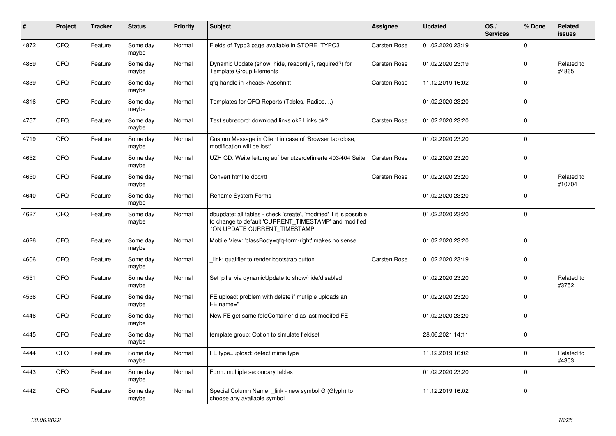| #    | Project | <b>Tracker</b> | <b>Status</b>     | <b>Priority</b> | <b>Subject</b>                                                                                                                                                | Assignee            | <b>Updated</b>   | OS/<br><b>Services</b> | % Done       | Related<br><b>issues</b> |
|------|---------|----------------|-------------------|-----------------|---------------------------------------------------------------------------------------------------------------------------------------------------------------|---------------------|------------------|------------------------|--------------|--------------------------|
| 4872 | QFQ     | Feature        | Some day<br>maybe | Normal          | Fields of Typo3 page available in STORE_TYPO3                                                                                                                 | Carsten Rose        | 01.02.2020 23:19 |                        | $\Omega$     |                          |
| 4869 | QFQ     | Feature        | Some day<br>maybe | Normal          | Dynamic Update (show, hide, readonly?, required?) for<br><b>Template Group Elements</b>                                                                       | Carsten Rose        | 01.02.2020 23:19 |                        | $\mathbf 0$  | Related to<br>#4865      |
| 4839 | QFQ     | Feature        | Some day<br>maybe | Normal          | qfq-handle in <head> Abschnitt</head>                                                                                                                         | Carsten Rose        | 11.12.2019 16:02 |                        | $\Omega$     |                          |
| 4816 | QFQ     | Feature        | Some day<br>maybe | Normal          | Templates for QFQ Reports (Tables, Radios, )                                                                                                                  |                     | 01.02.2020 23:20 |                        | $\Omega$     |                          |
| 4757 | QFQ     | Feature        | Some day<br>maybe | Normal          | Test subrecord: download links ok? Links ok?                                                                                                                  | <b>Carsten Rose</b> | 01.02.2020 23:20 |                        | $\mathbf 0$  |                          |
| 4719 | QFQ     | Feature        | Some day<br>maybe | Normal          | Custom Message in Client in case of 'Browser tab close,<br>modification will be lost'                                                                         |                     | 01.02.2020 23:20 |                        | $\Omega$     |                          |
| 4652 | QFQ     | Feature        | Some day<br>maybe | Normal          | UZH CD: Weiterleitung auf benutzerdefinierte 403/404 Seite                                                                                                    | Carsten Rose        | 01.02.2020 23:20 |                        | $\mathbf 0$  |                          |
| 4650 | QFQ     | Feature        | Some day<br>maybe | Normal          | Convert html to doc/rtf                                                                                                                                       | <b>Carsten Rose</b> | 01.02.2020 23:20 |                        | $\mathbf 0$  | Related to<br>#10704     |
| 4640 | QFQ     | Feature        | Some day<br>maybe | Normal          | Rename System Forms                                                                                                                                           |                     | 01.02.2020 23:20 |                        | $\Omega$     |                          |
| 4627 | QFQ     | Feature        | Some day<br>maybe | Normal          | dbupdate: all tables - check 'create', 'modified' if it is possible<br>to change to default 'CURRENT_TIMESTAMP' and modified<br>'ON UPDATE CURRENT_TIMESTAMP' |                     | 01.02.2020 23:20 |                        | $\mathbf{0}$ |                          |
| 4626 | QFQ     | Feature        | Some day<br>maybe | Normal          | Mobile View: 'classBody=qfq-form-right' makes no sense                                                                                                        |                     | 01.02.2020 23:20 |                        | $\mathbf 0$  |                          |
| 4606 | QFQ     | Feature        | Some day<br>maybe | Normal          | link: qualifier to render bootstrap button                                                                                                                    | <b>Carsten Rose</b> | 01.02.2020 23:19 |                        | $\Omega$     |                          |
| 4551 | QFQ     | Feature        | Some day<br>maybe | Normal          | Set 'pills' via dynamicUpdate to show/hide/disabled                                                                                                           |                     | 01.02.2020 23:20 |                        | $\mathbf 0$  | Related to<br>#3752      |
| 4536 | QFQ     | Feature        | Some day<br>maybe | Normal          | FE upload: problem with delete if mutliple uploads an<br>FE.name="                                                                                            |                     | 01.02.2020 23:20 |                        | $\mathbf 0$  |                          |
| 4446 | QFQ     | Feature        | Some day<br>maybe | Normal          | New FE get same feldContainerId as last modifed FE                                                                                                            |                     | 01.02.2020 23:20 |                        | $\mathbf{0}$ |                          |
| 4445 | QFQ     | Feature        | Some day<br>maybe | Normal          | template group: Option to simulate fieldset                                                                                                                   |                     | 28.06.2021 14:11 |                        | $\Omega$     |                          |
| 4444 | QFQ     | Feature        | Some day<br>maybe | Normal          | FE.type=upload: detect mime type                                                                                                                              |                     | 11.12.2019 16:02 |                        | $\Omega$     | Related to<br>#4303      |
| 4443 | QFQ     | Feature        | Some day<br>maybe | Normal          | Form: multiple secondary tables                                                                                                                               |                     | 01.02.2020 23:20 |                        | $\Omega$     |                          |
| 4442 | QFQ     | Feature        | Some day<br>maybe | Normal          | Special Column Name: link - new symbol G (Glyph) to<br>choose any available symbol                                                                            |                     | 11.12.2019 16:02 |                        | $\mathbf 0$  |                          |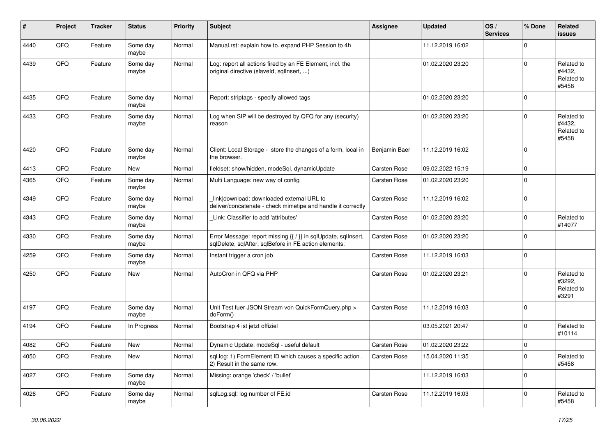| ∦    | Project | <b>Tracker</b> | <b>Status</b>     | <b>Priority</b> | <b>Subject</b>                                                                                                          | Assignee      | <b>Updated</b>   | OS/<br><b>Services</b> | % Done      | Related<br>issues                           |
|------|---------|----------------|-------------------|-----------------|-------------------------------------------------------------------------------------------------------------------------|---------------|------------------|------------------------|-------------|---------------------------------------------|
| 4440 | QFQ     | Feature        | Some day<br>maybe | Normal          | Manual.rst: explain how to. expand PHP Session to 4h                                                                    |               | 11.12.2019 16:02 |                        | $\mathbf 0$ |                                             |
| 4439 | QFQ     | Feature        | Some day<br>maybe | Normal          | Log: report all actions fired by an FE Element, incl. the<br>original directive (slaveld, sqllnsert, )                  |               | 01.02.2020 23:20 |                        | $\Omega$    | Related to<br>#4432.<br>Related to<br>#5458 |
| 4435 | QFQ     | Feature        | Some day<br>maybe | Normal          | Report: striptags - specify allowed tags                                                                                |               | 01.02.2020 23:20 |                        | $\mathbf 0$ |                                             |
| 4433 | QFQ     | Feature        | Some day<br>maybe | Normal          | Log when SIP will be destroyed by QFQ for any (security)<br>reason                                                      |               | 01.02.2020 23:20 |                        | $\Omega$    | Related to<br>#4432.<br>Related to<br>#5458 |
| 4420 | QFQ     | Feature        | Some day<br>maybe | Normal          | Client: Local Storage - store the changes of a form, local in<br>the browser.                                           | Benjamin Baer | 11.12.2019 16:02 |                        | $\mathbf 0$ |                                             |
| 4413 | QFQ     | Feature        | New               | Normal          | fieldset: show/hidden, modeSql, dynamicUpdate                                                                           | Carsten Rose  | 09.02.2022 15:19 |                        | $\mathbf 0$ |                                             |
| 4365 | QFQ     | Feature        | Some day<br>maybe | Normal          | Multi Language: new way of config                                                                                       | Carsten Rose  | 01.02.2020 23:20 |                        | $\mathbf 0$ |                                             |
| 4349 | QFQ     | Feature        | Some day<br>maybe | Normal          | link download: downloaded external URL to<br>deliver/concatenate - check mimetipe and handle it correctly               | Carsten Rose  | 11.12.2019 16:02 |                        | $\mathbf 0$ |                                             |
| 4343 | QFQ     | Feature        | Some day<br>maybe | Normal          | Link: Classifier to add 'attributes'                                                                                    | Carsten Rose  | 01.02.2020 23:20 |                        | $\mathbf 0$ | Related to<br>#14077                        |
| 4330 | QFQ     | Feature        | Some day<br>maybe | Normal          | Error Message: report missing {{ / }} in sqlUpdate, sqlInsert,<br>sqlDelete, sqlAfter, sqlBefore in FE action elements. | Carsten Rose  | 01.02.2020 23:20 |                        | $\Omega$    |                                             |
| 4259 | QFQ     | Feature        | Some day<br>maybe | Normal          | Instant trigger a cron job                                                                                              | Carsten Rose  | 11.12.2019 16:03 |                        | $\mathbf 0$ |                                             |
| 4250 | QFQ     | Feature        | New               | Normal          | AutoCron in QFQ via PHP                                                                                                 | Carsten Rose  | 01.02.2020 23:21 |                        | $\Omega$    | Related to<br>#3292.<br>Related to<br>#3291 |
| 4197 | QFQ     | Feature        | Some day<br>maybe | Normal          | Unit Test fuer JSON Stream von QuickFormQuery.php ><br>doForm()                                                         | Carsten Rose  | 11.12.2019 16:03 |                        | $\mathbf 0$ |                                             |
| 4194 | QFQ     | Feature        | In Progress       | Normal          | Bootstrap 4 ist jetzt offiziel                                                                                          |               | 03.05.2021 20:47 |                        | $\mathbf 0$ | Related to<br>#10114                        |
| 4082 | QFQ     | Feature        | New               | Normal          | Dynamic Update: modeSql - useful default                                                                                | Carsten Rose  | 01.02.2020 23:22 |                        | $\mathbf 0$ |                                             |
| 4050 | QFG     | Feature        | New               | Normal          | sql.log: 1) FormElement ID which causes a specific action,<br>2) Result in the same row.                                | Carsten Rose  | 15.04.2020 11:35 |                        | $\mathbf 0$ | Related to<br>#5458                         |
| 4027 | QFG     | Feature        | Some day<br>maybe | Normal          | Missing: orange 'check' / 'bullet'                                                                                      |               | 11.12.2019 16:03 |                        | 0           |                                             |
| 4026 | QFQ     | Feature        | Some day<br>maybe | Normal          | sqlLog.sql: log number of FE.id                                                                                         | Carsten Rose  | 11.12.2019 16:03 |                        | $\mathbf 0$ | Related to<br>#5458                         |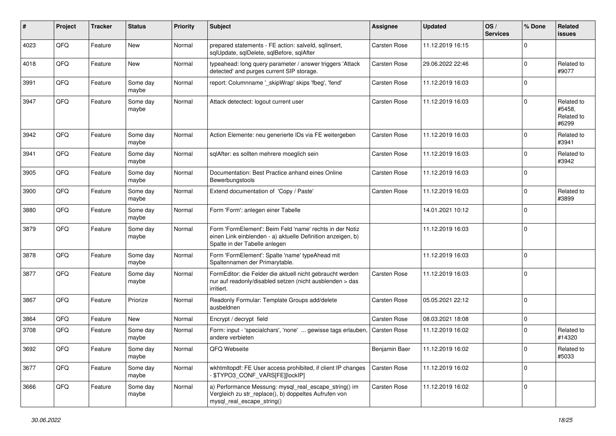| $\#$ | Project | <b>Tracker</b> | <b>Status</b>     | <b>Priority</b> | Subject                                                                                                                                                  | <b>Assignee</b>     | <b>Updated</b>   | OS/<br><b>Services</b> | % Done      | Related<br>issues                           |
|------|---------|----------------|-------------------|-----------------|----------------------------------------------------------------------------------------------------------------------------------------------------------|---------------------|------------------|------------------------|-------------|---------------------------------------------|
| 4023 | QFQ     | Feature        | <b>New</b>        | Normal          | prepared statements - FE action: salveld, sqlInsert,<br>sqlUpdate, sqlDelete, sqlBefore, sqlAfter                                                        | <b>Carsten Rose</b> | 11.12.2019 16:15 |                        | $\Omega$    |                                             |
| 4018 | QFQ     | Feature        | New               | Normal          | typeahead: long query parameter / answer triggers 'Attack<br>detected' and purges current SIP storage.                                                   | <b>Carsten Rose</b> | 29.06.2022 22:46 |                        | $\Omega$    | Related to<br>#9077                         |
| 3991 | QFQ     | Feature        | Some day<br>maybe | Normal          | report: Columnname '_skipWrap' skips 'fbeg', 'fend'                                                                                                      | <b>Carsten Rose</b> | 11.12.2019 16:03 |                        | $\Omega$    |                                             |
| 3947 | QFQ     | Feature        | Some day<br>maybe | Normal          | Attack detectect: logout current user                                                                                                                    | <b>Carsten Rose</b> | 11.12.2019 16:03 |                        | $\Omega$    | Related to<br>#5458,<br>Related to<br>#6299 |
| 3942 | QFQ     | Feature        | Some day<br>maybe | Normal          | Action Elemente: neu generierte IDs via FE weitergeben                                                                                                   | <b>Carsten Rose</b> | 11.12.2019 16:03 |                        | $\Omega$    | Related to<br>#3941                         |
| 3941 | QFQ     | Feature        | Some day<br>maybe | Normal          | sqlAfter: es sollten mehrere moeglich sein                                                                                                               | Carsten Rose        | 11.12.2019 16:03 |                        | $\Omega$    | Related to<br>#3942                         |
| 3905 | QFQ     | Feature        | Some day<br>maybe | Normal          | Documentation: Best Practice anhand eines Online<br>Bewerbungstools                                                                                      | <b>Carsten Rose</b> | 11.12.2019 16:03 |                        | $\Omega$    |                                             |
| 3900 | QFQ     | Feature        | Some day<br>maybe | Normal          | Extend documentation of 'Copy / Paste'                                                                                                                   | Carsten Rose        | 11.12.2019 16:03 |                        | $\Omega$    | Related to<br>#3899                         |
| 3880 | QFQ     | Feature        | Some day<br>maybe | Normal          | Form 'Form': anlegen einer Tabelle                                                                                                                       |                     | 14.01.2021 10:12 |                        | $\Omega$    |                                             |
| 3879 | QFQ     | Feature        | Some day<br>maybe | Normal          | Form 'FormElement': Beim Feld 'name' rechts in der Notiz<br>einen Link einblenden - a) aktuelle Definition anzeigen, b)<br>Spalte in der Tabelle anlegen |                     | 11.12.2019 16:03 |                        | $\Omega$    |                                             |
| 3878 | QFQ     | Feature        | Some day<br>maybe | Normal          | Form 'FormElement': Spalte 'name' typeAhead mit<br>Spaltennamen der Primarytable.                                                                        |                     | 11.12.2019 16:03 |                        | $\Omega$    |                                             |
| 3877 | QFQ     | Feature        | Some day<br>maybe | Normal          | FormEditor: die Felder die aktuell nicht gebraucht werden<br>nur auf readonly/disabled setzen (nicht ausblenden > das<br>irritiert.                      | <b>Carsten Rose</b> | 11.12.2019 16:03 |                        | $\Omega$    |                                             |
| 3867 | QFQ     | Feature        | Priorize          | Normal          | Readonly Formular: Template Groups add/delete<br>ausbeldnen                                                                                              | <b>Carsten Rose</b> | 05.05.2021 22:12 |                        | $\Omega$    |                                             |
| 3864 | QFQ     | Feature        | New               | Normal          | Encrypt / decrypt field                                                                                                                                  | <b>Carsten Rose</b> | 08.03.2021 18:08 |                        | $\mathbf 0$ |                                             |
| 3708 | QFQ     | Feature        | Some day<br>maybe | Normal          | Form: input - 'specialchars', 'none'  gewisse tags erlauben,<br>andere verbieten                                                                         | <b>Carsten Rose</b> | 11.12.2019 16:02 |                        | $\Omega$    | Related to<br>#14320                        |
| 3692 | QFQ     | Feature        | Some day<br>maybe | Normal          | QFQ Webseite                                                                                                                                             | Benjamin Baer       | 11.12.2019 16:02 |                        | $\pmb{0}$   | Related to<br>#5033                         |
| 3677 | QFQ     | Feature        | Some day<br>maybe | Normal          | wkhtmltopdf: FE User access prohibited, if client IP changes<br>\$TYPO3_CONF_VARS[FE][lockIP]                                                            | Carsten Rose        | 11.12.2019 16:02 |                        | $\mathbf 0$ |                                             |
| 3666 | QFQ     | Feature        | Some day<br>maybe | Normal          | a) Performance Messung: mysql_real_escape_string() im<br>Vergleich zu str_replace(), b) doppeltes Aufrufen von<br>mysql_real_escape_string()             | Carsten Rose        | 11.12.2019 16:02 |                        | $\mathbf 0$ |                                             |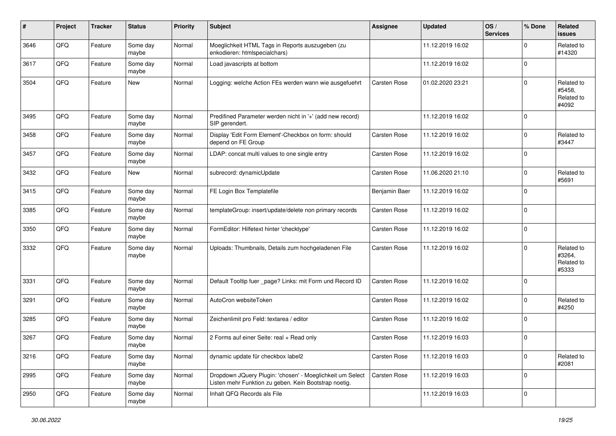| #    | Project | <b>Tracker</b> | <b>Status</b>     | <b>Priority</b> | <b>Subject</b>                                                                                                     | <b>Assignee</b>     | <b>Updated</b>   | OS/<br><b>Services</b> | % Done      | Related<br><b>issues</b>                    |
|------|---------|----------------|-------------------|-----------------|--------------------------------------------------------------------------------------------------------------------|---------------------|------------------|------------------------|-------------|---------------------------------------------|
| 3646 | QFQ     | Feature        | Some day<br>maybe | Normal          | Moeglichkeit HTML Tags in Reports auszugeben (zu<br>enkodieren: htmlspecialchars)                                  |                     | 11.12.2019 16:02 |                        | $\mathbf 0$ | Related to<br>#14320                        |
| 3617 | QFQ     | Feature        | Some day<br>maybe | Normal          | Load javascripts at bottom                                                                                         |                     | 11.12.2019 16:02 |                        | $\mathbf 0$ |                                             |
| 3504 | QFQ     | Feature        | <b>New</b>        | Normal          | Logging: welche Action FEs werden wann wie ausgefuehrt                                                             | <b>Carsten Rose</b> | 01.02.2020 23:21 |                        | $\mathbf 0$ | Related to<br>#5458,<br>Related to<br>#4092 |
| 3495 | QFQ     | Feature        | Some day<br>maybe | Normal          | Predifined Parameter werden nicht in '+' (add new record)<br>SIP gerendert.                                        |                     | 11.12.2019 16:02 |                        | $\mathbf 0$ |                                             |
| 3458 | QFQ     | Feature        | Some day<br>maybe | Normal          | Display 'Edit Form Element'-Checkbox on form: should<br>depend on FE Group                                         | <b>Carsten Rose</b> | 11.12.2019 16:02 |                        | $\mathbf 0$ | Related to<br>#3447                         |
| 3457 | QFQ     | Feature        | Some day<br>maybe | Normal          | LDAP: concat multi values to one single entry                                                                      | <b>Carsten Rose</b> | 11.12.2019 16:02 |                        | $\Omega$    |                                             |
| 3432 | QFQ     | Feature        | <b>New</b>        | Normal          | subrecord: dynamicUpdate                                                                                           | <b>Carsten Rose</b> | 11.06.2020 21:10 |                        | $\Omega$    | Related to<br>#5691                         |
| 3415 | QFQ     | Feature        | Some day<br>maybe | Normal          | FE Login Box Templatefile                                                                                          | Benjamin Baer       | 11.12.2019 16:02 |                        | $\mathbf 0$ |                                             |
| 3385 | QFQ     | Feature        | Some day<br>maybe | Normal          | templateGroup: insert/update/delete non primary records                                                            | <b>Carsten Rose</b> | 11.12.2019 16:02 |                        | $\mathbf 0$ |                                             |
| 3350 | QFQ     | Feature        | Some day<br>maybe | Normal          | FormEditor: Hilfetext hinter 'checktype'                                                                           | Carsten Rose        | 11.12.2019 16:02 |                        | $\mathbf 0$ |                                             |
| 3332 | QFQ     | Feature        | Some day<br>maybe | Normal          | Uploads: Thumbnails, Details zum hochgeladenen File                                                                | <b>Carsten Rose</b> | 11.12.2019 16:02 |                        | $\mathbf 0$ | Related to<br>#3264,<br>Related to<br>#5333 |
| 3331 | QFQ     | Feature        | Some day<br>maybe | Normal          | Default Tooltip fuer _page? Links: mit Form und Record ID                                                          | Carsten Rose        | 11.12.2019 16:02 |                        | $\mathbf 0$ |                                             |
| 3291 | QFQ     | Feature        | Some day<br>maybe | Normal          | AutoCron websiteToken                                                                                              | Carsten Rose        | 11.12.2019 16:02 |                        | $\mathbf 0$ | Related to<br>#4250                         |
| 3285 | QFQ     | Feature        | Some day<br>maybe | Normal          | Zeichenlimit pro Feld: textarea / editor                                                                           | Carsten Rose        | 11.12.2019 16:02 |                        | $\mathbf 0$ |                                             |
| 3267 | QFQ     | Feature        | Some day<br>maybe | Normal          | 2 Forms auf einer Seite: real + Read only                                                                          | <b>Carsten Rose</b> | 11.12.2019 16:03 |                        | $\mathbf 0$ |                                             |
| 3216 | QFG     | Feature        | Some day<br>maybe | Normal          | dynamic update für checkbox label2                                                                                 | Carsten Rose        | 11.12.2019 16:03 |                        | $\mathbf 0$ | Related to<br>#2081                         |
| 2995 | QFO     | Feature        | Some day<br>maybe | Normal          | Dropdown JQuery Plugin: 'chosen' - Moeglichkeit um Select<br>Listen mehr Funktion zu geben. Kein Bootstrap noetig. | Carsten Rose        | 11.12.2019 16:03 |                        | $\pmb{0}$   |                                             |
| 2950 | QFQ     | Feature        | Some day<br>maybe | Normal          | Inhalt QFQ Records als File                                                                                        |                     | 11.12.2019 16:03 |                        | $\mathbf 0$ |                                             |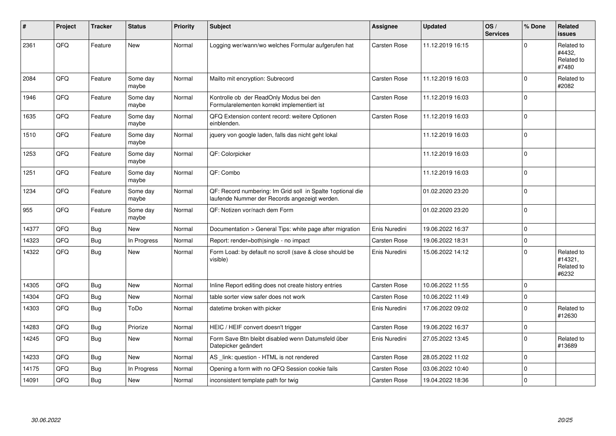| ∦     | Project | <b>Tracker</b> | <b>Status</b>     | <b>Priority</b> | <b>Subject</b>                                                                                              | Assignee            | <b>Updated</b>   | OS/<br><b>Services</b> | % Done      | Related<br>issues                            |
|-------|---------|----------------|-------------------|-----------------|-------------------------------------------------------------------------------------------------------------|---------------------|------------------|------------------------|-------------|----------------------------------------------|
| 2361  | QFQ     | Feature        | New               | Normal          | Logging wer/wann/wo welches Formular aufgerufen hat                                                         | <b>Carsten Rose</b> | 11.12.2019 16:15 |                        | $\Omega$    | Related to<br>#4432,<br>Related to<br>#7480  |
| 2084  | QFQ     | Feature        | Some day<br>maybe | Normal          | Mailto mit encryption: Subrecord                                                                            | Carsten Rose        | 11.12.2019 16:03 |                        | $\Omega$    | Related to<br>#2082                          |
| 1946  | QFQ     | Feature        | Some day<br>maybe | Normal          | Kontrolle ob der ReadOnly Modus bei den<br>Formularelementen korrekt implementiert ist                      | <b>Carsten Rose</b> | 11.12.2019 16:03 |                        | $\Omega$    |                                              |
| 1635  | QFQ     | Feature        | Some day<br>maybe | Normal          | QFQ Extension content record: weitere Optionen<br>einblenden.                                               | <b>Carsten Rose</b> | 11.12.2019 16:03 |                        | $\Omega$    |                                              |
| 1510  | QFQ     | Feature        | Some day<br>maybe | Normal          | jquery von google laden, falls das nicht geht lokal                                                         |                     | 11.12.2019 16:03 |                        | $\Omega$    |                                              |
| 1253  | QFQ     | Feature        | Some day<br>maybe | Normal          | QF: Colorpicker                                                                                             |                     | 11.12.2019 16:03 |                        | $\Omega$    |                                              |
| 1251  | QFQ     | Feature        | Some day<br>maybe | Normal          | QF: Combo                                                                                                   |                     | 11.12.2019 16:03 |                        | $\Omega$    |                                              |
| 1234  | QFQ     | Feature        | Some day<br>maybe | Normal          | QF: Record numbering: Im Grid soll in Spalte 1optional die<br>laufende Nummer der Records angezeigt werden. |                     | 01.02.2020 23:20 |                        | $\Omega$    |                                              |
| 955   | QFQ     | Feature        | Some day<br>maybe | Normal          | QF: Notizen vor/nach dem Form                                                                               |                     | 01.02.2020 23:20 |                        | $\Omega$    |                                              |
| 14377 | QFO     | <b>Bug</b>     | <b>New</b>        | Normal          | Documentation > General Tips: white page after migration                                                    | Enis Nuredini       | 19.06.2022 16:37 |                        | $\Omega$    |                                              |
| 14323 | QFQ     | <b>Bug</b>     | In Progress       | Normal          | Report: render=both single - no impact                                                                      | <b>Carsten Rose</b> | 19.06.2022 18:31 |                        | $\Omega$    |                                              |
| 14322 | QFQ     | <b>Bug</b>     | New               | Normal          | Form Load: by default no scroll (save & close should be<br>visible)                                         | Enis Nuredini       | 15.06.2022 14:12 |                        | $\Omega$    | Related to<br>#14321,<br>Related to<br>#6232 |
| 14305 | QFQ     | Bug            | <b>New</b>        | Normal          | Inline Report editing does not create history entries                                                       | <b>Carsten Rose</b> | 10.06.2022 11:55 |                        | $\Omega$    |                                              |
| 14304 | QFQ     | <b>Bug</b>     | <b>New</b>        | Normal          | table sorter view safer does not work                                                                       | Carsten Rose        | 10.06.2022 11:49 |                        | $\Omega$    |                                              |
| 14303 | QFQ     | Bug            | ToDo              | Normal          | datetime broken with picker                                                                                 | Enis Nuredini       | 17.06.2022 09:02 |                        | $\Omega$    | Related to<br>#12630                         |
| 14283 | QFQ     | Bug            | Priorize          | Normal          | HEIC / HEIF convert doesn't trigger                                                                         | <b>Carsten Rose</b> | 19.06.2022 16:37 |                        | $\mathbf 0$ |                                              |
| 14245 | QFQ     | <b>Bug</b>     | <b>New</b>        | Normal          | Form Save Btn bleibt disabled wenn Datumsfeld über<br>Datepicker geändert                                   | Enis Nuredini       | 27.05.2022 13:45 |                        | $\Omega$    | Related to<br>#13689                         |
| 14233 | QFQ     | Bug            | <b>New</b>        | Normal          | AS _link: question - HTML is not rendered                                                                   | <b>Carsten Rose</b> | 28.05.2022 11:02 |                        | $\Omega$    |                                              |
| 14175 | QFQ     | Bug            | In Progress       | Normal          | Opening a form with no QFQ Session cookie fails                                                             | Carsten Rose        | 03.06.2022 10:40 |                        | $\Omega$    |                                              |
| 14091 | QFQ     | Bug            | New               | Normal          | inconsistent template path for twig                                                                         | <b>Carsten Rose</b> | 19.04.2022 18:36 |                        | 0           |                                              |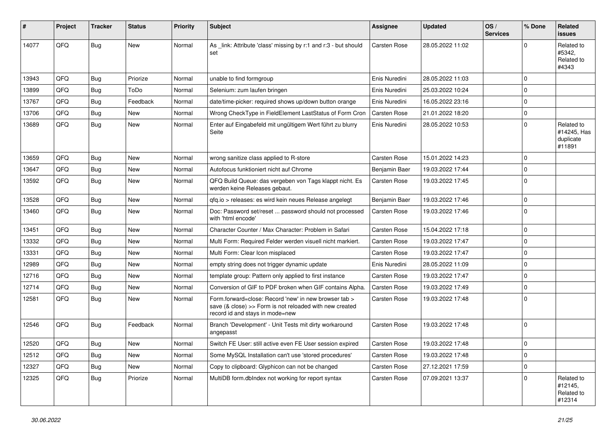| #     | Project | <b>Tracker</b> | <b>Status</b> | <b>Priority</b> | <b>Subject</b>                                                                                                                                      | Assignee            | <b>Updated</b>   | OS/<br><b>Services</b> | % Done      | Related<br><b>issues</b>                         |
|-------|---------|----------------|---------------|-----------------|-----------------------------------------------------------------------------------------------------------------------------------------------------|---------------------|------------------|------------------------|-------------|--------------------------------------------------|
| 14077 | QFQ     | Bug            | <b>New</b>    | Normal          | As _link: Attribute 'class' missing by r:1 and r:3 - but should<br>set                                                                              | <b>Carsten Rose</b> | 28.05.2022 11:02 |                        | $\Omega$    | Related to<br>#5342,<br>Related to<br>#4343      |
| 13943 | QFQ     | <b>Bug</b>     | Priorize      | Normal          | unable to find formgroup                                                                                                                            | Enis Nuredini       | 28.05.2022 11:03 |                        | $\Omega$    |                                                  |
| 13899 | QFQ     | <b>Bug</b>     | ToDo          | Normal          | Selenium: zum laufen bringen                                                                                                                        | Enis Nuredini       | 25.03.2022 10:24 |                        | $\Omega$    |                                                  |
| 13767 | QFQ     | <b>Bug</b>     | Feedback      | Normal          | date/time-picker: required shows up/down button orange                                                                                              | Enis Nuredini       | 16.05.2022 23:16 |                        | $\Omega$    |                                                  |
| 13706 | QFQ     | <b>Bug</b>     | New           | Normal          | Wrong CheckType in FieldElement LastStatus of Form Cron                                                                                             | <b>Carsten Rose</b> | 21.01.2022 18:20 |                        | $\Omega$    |                                                  |
| 13689 | QFQ     | Bug            | <b>New</b>    | Normal          | Enter auf Eingabefeld mit ungültigem Wert führt zu blurry<br>Seite                                                                                  | Enis Nuredini       | 28.05.2022 10:53 |                        | $\Omega$    | Related to<br>#14245, Has<br>duplicate<br>#11891 |
| 13659 | QFQ     | Bug            | New           | Normal          | wrong sanitize class applied to R-store                                                                                                             | <b>Carsten Rose</b> | 15.01.2022 14:23 |                        | $\Omega$    |                                                  |
| 13647 | QFQ     | <b>Bug</b>     | New           | Normal          | Autofocus funktioniert nicht auf Chrome                                                                                                             | Benjamin Baer       | 19.03.2022 17:44 |                        | $\Omega$    |                                                  |
| 13592 | QFQ     | <b>Bug</b>     | New           | Normal          | QFQ Build Queue: das vergeben von Tags klappt nicht. Es<br>werden keine Releases gebaut.                                                            | Carsten Rose        | 19.03.2022 17:45 |                        | $\Omega$    |                                                  |
| 13528 | QFQ     | Bug            | New           | Normal          | qfq.io > releases: es wird kein neues Release angelegt                                                                                              | Benjamin Baer       | 19.03.2022 17:46 |                        | $\Omega$    |                                                  |
| 13460 | QFQ     | Bug            | <b>New</b>    | Normal          | Doc: Password set/reset  password should not processed<br>with 'html encode'                                                                        | Carsten Rose        | 19.03.2022 17:46 |                        | $\Omega$    |                                                  |
| 13451 | QFQ     | <b>Bug</b>     | <b>New</b>    | Normal          | Character Counter / Max Character: Problem in Safari                                                                                                | <b>Carsten Rose</b> | 15.04.2022 17:18 |                        | $\Omega$    |                                                  |
| 13332 | QFQ     | Bug            | New           | Normal          | Multi Form: Required Felder werden visuell nicht markiert.                                                                                          | <b>Carsten Rose</b> | 19.03.2022 17:47 |                        | $\Omega$    |                                                  |
| 13331 | QFQ     | <b>Bug</b>     | New           | Normal          | Multi Form: Clear Icon misplaced                                                                                                                    | <b>Carsten Rose</b> | 19.03.2022 17:47 |                        | $\Omega$    |                                                  |
| 12989 | QFQ     | <b>Bug</b>     | New           | Normal          | empty string does not trigger dynamic update                                                                                                        | Enis Nuredini       | 28.05.2022 11:09 |                        | $\Omega$    |                                                  |
| 12716 | QFQ     | Bug            | New           | Normal          | template group: Pattern only applied to first instance                                                                                              | <b>Carsten Rose</b> | 19.03.2022 17:47 |                        | $\Omega$    |                                                  |
| 12714 | QFQ     | <b>Bug</b>     | New           | Normal          | Conversion of GIF to PDF broken when GIF contains Alpha.                                                                                            | Carsten Rose        | 19.03.2022 17:49 |                        | $\Omega$    |                                                  |
| 12581 | QFQ     | Bug            | <b>New</b>    | Normal          | Form.forward=close: Record 'new' in new browser tab ><br>save (& close) >> Form is not reloaded with new created<br>record id and stays in mode=new | Carsten Rose        | 19.03.2022 17:48 |                        | $\Omega$    |                                                  |
| 12546 | QFQ     | Bug            | Feedback      | Normal          | Branch 'Development' - Unit Tests mit dirty workaround<br>angepasst                                                                                 | <b>Carsten Rose</b> | 19.03.2022 17:48 |                        | $\Omega$    |                                                  |
| 12520 | QFQ     | Bug            | <b>New</b>    | Normal          | Switch FE User: still active even FE User session expired                                                                                           | <b>Carsten Rose</b> | 19.03.2022 17:48 |                        | $\Omega$    |                                                  |
| 12512 | QFQ     | <b>Bug</b>     | New           | Normal          | Some MySQL Installation can't use 'stored procedures'                                                                                               | Carsten Rose        | 19.03.2022 17:48 |                        | $\pmb{0}$   |                                                  |
| 12327 | QFQ     | Bug            | New           | Normal          | Copy to clipboard: Glyphicon can not be changed                                                                                                     | Carsten Rose        | 27.12.2021 17:59 |                        | 0           |                                                  |
| 12325 | QFQ     | <b>Bug</b>     | Priorize      | Normal          | MultiDB form.dbIndex not working for report syntax                                                                                                  | Carsten Rose        | 07.09.2021 13:37 |                        | $\mathbf 0$ | Related to<br>#12145,<br>Related to<br>#12314    |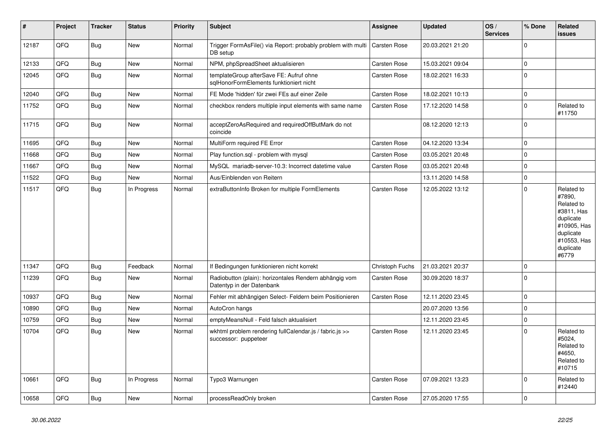| #     | Project | <b>Tracker</b> | <b>Status</b> | Priority | <b>Subject</b>                                                                      | Assignee            | <b>Updated</b>   | OS/<br><b>Services</b> | % Done      | Related<br>issues                                                                                                              |
|-------|---------|----------------|---------------|----------|-------------------------------------------------------------------------------------|---------------------|------------------|------------------------|-------------|--------------------------------------------------------------------------------------------------------------------------------|
| 12187 | QFQ     | <b>Bug</b>     | New           | Normal   | Trigger FormAsFile() via Report: probably problem with multi<br>DB setup            | Carsten Rose        | 20.03.2021 21:20 |                        | $\mathbf 0$ |                                                                                                                                |
| 12133 | QFQ     | <b>Bug</b>     | <b>New</b>    | Normal   | NPM, phpSpreadSheet aktualisieren                                                   | <b>Carsten Rose</b> | 15.03.2021 09:04 |                        | $\mathbf 0$ |                                                                                                                                |
| 12045 | QFQ     | <b>Bug</b>     | New           | Normal   | templateGroup afterSave FE: Aufruf ohne<br>sglHonorFormElements funktioniert nicht  | <b>Carsten Rose</b> | 18.02.2021 16:33 |                        | $\Omega$    |                                                                                                                                |
| 12040 | QFQ     | <b>Bug</b>     | <b>New</b>    | Normal   | FE Mode 'hidden' für zwei FEs auf einer Zeile                                       | <b>Carsten Rose</b> | 18.02.2021 10:13 |                        | $\pmb{0}$   |                                                                                                                                |
| 11752 | QFQ     | Bug            | <b>New</b>    | Normal   | checkbox renders multiple input elements with same name                             | <b>Carsten Rose</b> | 17.12.2020 14:58 |                        | $\Omega$    | Related to<br>#11750                                                                                                           |
| 11715 | QFQ     | <b>Bug</b>     | New           | Normal   | acceptZeroAsRequired and requiredOffButMark do not<br>coincide                      |                     | 08.12.2020 12:13 |                        | $\Omega$    |                                                                                                                                |
| 11695 | QFQ     | <b>Bug</b>     | <b>New</b>    | Normal   | MultiForm required FE Error                                                         | <b>Carsten Rose</b> | 04.12.2020 13:34 |                        | $\Omega$    |                                                                                                                                |
| 11668 | QFQ     | <b>Bug</b>     | <b>New</b>    | Normal   | Play function.sql - problem with mysql                                              | Carsten Rose        | 03.05.2021 20:48 |                        | $\mathbf 0$ |                                                                                                                                |
| 11667 | QFQ     | <b>Bug</b>     | <b>New</b>    | Normal   | MySQL mariadb-server-10.3: Incorrect datetime value                                 | Carsten Rose        | 03.05.2021 20:48 |                        | $\mathbf 0$ |                                                                                                                                |
| 11522 | QFQ     | Bug            | New           | Normal   | Aus/Einblenden von Reitern                                                          |                     | 13.11.2020 14:58 |                        | $\mathbf 0$ |                                                                                                                                |
| 11517 | QFQ     | <b>Bug</b>     | In Progress   | Normal   | extraButtonInfo Broken for multiple FormElements                                    | <b>Carsten Rose</b> | 12.05.2022 13:12 |                        | $\mathbf 0$ | Related to<br>#7890,<br>Related to<br>#3811, Has<br>duplicate<br>#10905, Has<br>duplicate<br>#10553, Has<br>duplicate<br>#6779 |
| 11347 | QFQ     | <b>Bug</b>     | Feedback      | Normal   | If Bedingungen funktionieren nicht korrekt                                          | Christoph Fuchs     | 21.03.2021 20:37 |                        | $\Omega$    |                                                                                                                                |
| 11239 | QFQ     | <b>Bug</b>     | <b>New</b>    | Normal   | Radiobutton (plain): horizontales Rendern abhängig vom<br>Datentyp in der Datenbank | Carsten Rose        | 30.09.2020 18:37 |                        | $\Omega$    |                                                                                                                                |
| 10937 | QFQ     | <b>Bug</b>     | <b>New</b>    | Normal   | Fehler mit abhängigen Select- Feldern beim Positionieren                            | <b>Carsten Rose</b> | 12.11.2020 23:45 |                        | $\mathbf 0$ |                                                                                                                                |
| 10890 | QFQ     | <b>Bug</b>     | New           | Normal   | AutoCron hangs                                                                      |                     | 20.07.2020 13:56 |                        | $\Omega$    |                                                                                                                                |
| 10759 | QFQ     | <b>Bug</b>     | <b>New</b>    | Normal   | emptyMeansNull - Feld falsch aktualisiert                                           |                     | 12.11.2020 23:45 |                        | $\Omega$    |                                                                                                                                |
| 10704 | QFQ     | Bug            | New           | Normal   | wkhtml problem rendering fullCalendar.js / fabric.js >><br>successor: puppeteer     | <b>Carsten Rose</b> | 12.11.2020 23:45 |                        | $\Omega$    | Related to<br>#5024,<br>Related to<br>#4650.<br>Related to<br>#10715                                                           |
| 10661 | QFQ     | <b>Bug</b>     | In Progress   | Normal   | Typo3 Warnungen                                                                     | <b>Carsten Rose</b> | 07.09.2021 13:23 |                        | $\Omega$    | Related to<br>#12440                                                                                                           |
| 10658 | QFQ     | Bug            | New           | Normal   | processReadOnly broken                                                              | Carsten Rose        | 27.05.2020 17:55 |                        | $\mathbf 0$ |                                                                                                                                |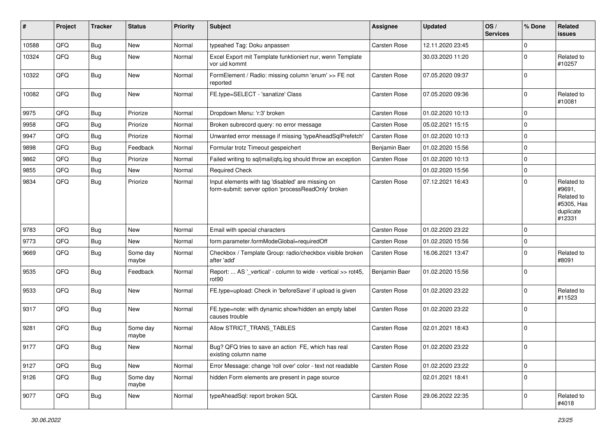| #     | Project | <b>Tracker</b> | <b>Status</b>     | <b>Priority</b> | <b>Subject</b>                                                                                           | Assignee            | <b>Updated</b>   | OS/<br><b>Services</b> | % Done   | Related<br>issues                                                       |
|-------|---------|----------------|-------------------|-----------------|----------------------------------------------------------------------------------------------------------|---------------------|------------------|------------------------|----------|-------------------------------------------------------------------------|
| 10588 | QFQ     | Bug            | New               | Normal          | typeahed Tag: Doku anpassen                                                                              | Carsten Rose        | 12.11.2020 23:45 |                        | $\Omega$ |                                                                         |
| 10324 | QFQ     | Bug            | New               | Normal          | Excel Export mit Template funktioniert nur, wenn Template<br>vor uid kommt                               |                     | 30.03.2020 11:20 |                        | $\Omega$ | Related to<br>#10257                                                    |
| 10322 | QFQ     | <b>Bug</b>     | New               | Normal          | FormElement / Radio: missing column 'enum' >> FE not<br>reported                                         | <b>Carsten Rose</b> | 07.05.2020 09:37 |                        | $\Omega$ |                                                                         |
| 10082 | QFQ     | Bug            | New               | Normal          | FE.type=SELECT - 'sanatize' Class                                                                        | <b>Carsten Rose</b> | 07.05.2020 09:36 |                        | $\Omega$ | Related to<br>#10081                                                    |
| 9975  | QFQ     | <b>Bug</b>     | Priorize          | Normal          | Dropdown Menu: 'r:3' broken                                                                              | <b>Carsten Rose</b> | 01.02.2020 10:13 |                        | $\Omega$ |                                                                         |
| 9958  | QFQ     | <b>Bug</b>     | Priorize          | Normal          | Broken subrecord query: no error message                                                                 | <b>Carsten Rose</b> | 05.02.2021 15:15 |                        | $\Omega$ |                                                                         |
| 9947  | QFQ     | <b>Bug</b>     | Priorize          | Normal          | Unwanted error message if missing 'typeAheadSqlPrefetch'                                                 | Carsten Rose        | 01.02.2020 10:13 |                        | $\Omega$ |                                                                         |
| 9898  | QFQ     | <b>Bug</b>     | Feedback          | Normal          | Formular trotz Timeout gespeichert                                                                       | Benjamin Baer       | 01.02.2020 15:56 |                        | $\Omega$ |                                                                         |
| 9862  | QFQ     | <b>Bug</b>     | Priorize          | Normal          | Failed writing to sql mail qfq.log should throw an exception                                             | Carsten Rose        | 01.02.2020 10:13 |                        | $\Omega$ |                                                                         |
| 9855  | QFQ     | <b>Bug</b>     | <b>New</b>        | Normal          | <b>Required Check</b>                                                                                    |                     | 01.02.2020 15:56 |                        | $\Omega$ |                                                                         |
| 9834  | QFQ     | Bug            | Priorize          | Normal          | Input elements with tag 'disabled' are missing on<br>form-submit: server option 'processReadOnly' broken | <b>Carsten Rose</b> | 07.12.2021 16:43 |                        | $\Omega$ | Related to<br>#9691,<br>Related to<br>#5305, Has<br>duplicate<br>#12331 |
| 9783  | QFQ     | <b>Bug</b>     | <b>New</b>        | Normal          | Email with special characters                                                                            | <b>Carsten Rose</b> | 01.02.2020 23:22 |                        | $\Omega$ |                                                                         |
| 9773  | QFQ     | Bug            | New               | Normal          | form.parameter.formModeGlobal=requiredOff                                                                | <b>Carsten Rose</b> | 01.02.2020 15:56 |                        | $\Omega$ |                                                                         |
| 9669  | QFQ     | Bug            | Some day<br>maybe | Normal          | Checkbox / Template Group: radio/checkbox visible broken<br>after 'add'                                  | Carsten Rose        | 16.06.2021 13:47 |                        | $\Omega$ | Related to<br>#8091                                                     |
| 9535  | QFQ     | Bug            | Feedback          | Normal          | Report:  AS '_vertical' - column to wide - vertical >> rot45,<br>rot90                                   | Benjamin Baer       | 01.02.2020 15:56 |                        | $\Omega$ |                                                                         |
| 9533  | QFQ     | Bug            | New               | Normal          | FE.type=upload: Check in 'beforeSave' if upload is given                                                 | <b>Carsten Rose</b> | 01.02.2020 23:22 |                        | $\Omega$ | Related to<br>#11523                                                    |
| 9317  | QFQ     | Bug            | <b>New</b>        | Normal          | FE.type=note: with dynamic show/hidden an empty label<br>causes trouble                                  | <b>Carsten Rose</b> | 01.02.2020 23:22 |                        | $\Omega$ |                                                                         |
| 9281  | QFQ     | Bug            | Some day<br>maybe | Normal          | Allow STRICT_TRANS_TABLES                                                                                | <b>Carsten Rose</b> | 02.01.2021 18:43 |                        | $\Omega$ |                                                                         |
| 9177  | QFQ     | Bug            | New               | Normal          | Bug? QFQ tries to save an action FE, which has real<br>existing column name                              | Carsten Rose        | 01.02.2020 23:22 |                        | 0        |                                                                         |
| 9127  | QFQ     | Bug            | New               | Normal          | Error Message: change 'roll over' color - text not readable                                              | Carsten Rose        | 01.02.2020 23:22 |                        | 0        |                                                                         |
| 9126  | QFQ     | <b>Bug</b>     | Some day<br>maybe | Normal          | hidden Form elements are present in page source                                                          |                     | 02.01.2021 18:41 |                        | 0        |                                                                         |
| 9077  | QFQ     | Bug            | New               | Normal          | typeAheadSql: report broken SQL                                                                          | Carsten Rose        | 29.06.2022 22:35 |                        | 0        | Related to<br>#4018                                                     |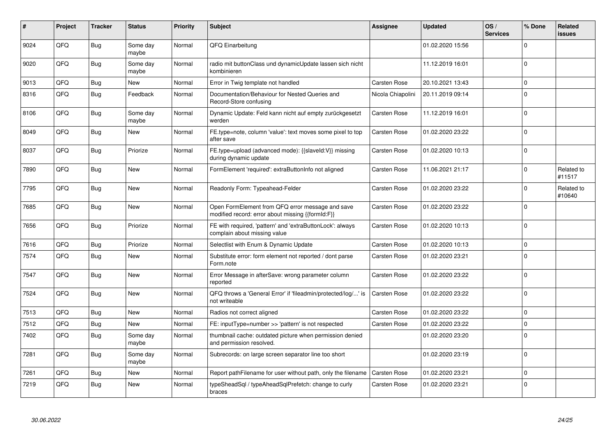| #    | Project | <b>Tracker</b> | <b>Status</b>     | <b>Priority</b> | <b>Subject</b>                                                                                        | <b>Assignee</b>     | <b>Updated</b>   | OS/<br><b>Services</b> | % Done      | <b>Related</b><br><b>issues</b> |
|------|---------|----------------|-------------------|-----------------|-------------------------------------------------------------------------------------------------------|---------------------|------------------|------------------------|-------------|---------------------------------|
| 9024 | QFQ     | <b>Bug</b>     | Some day<br>maybe | Normal          | QFQ Einarbeitung                                                                                      |                     | 01.02.2020 15:56 |                        | $\Omega$    |                                 |
| 9020 | QFQ     | <b>Bug</b>     | Some day<br>maybe | Normal          | radio mit buttonClass und dynamicUpdate lassen sich nicht<br>kombinieren                              |                     | 11.12.2019 16:01 |                        | $\Omega$    |                                 |
| 9013 | QFQ     | <b>Bug</b>     | <b>New</b>        | Normal          | Error in Twig template not handled                                                                    | <b>Carsten Rose</b> | 20.10.2021 13:43 |                        | $\mathbf 0$ |                                 |
| 8316 | QFQ     | <b>Bug</b>     | Feedback          | Normal          | Documentation/Behaviour for Nested Queries and<br>Record-Store confusing                              | Nicola Chiapolini   | 20.11.2019 09:14 |                        | $\Omega$    |                                 |
| 8106 | QFQ     | Bug            | Some day<br>maybe | Normal          | Dynamic Update: Feld kann nicht auf empty zurückgesetzt<br>werden                                     | Carsten Rose        | 11.12.2019 16:01 |                        | $\mathbf 0$ |                                 |
| 8049 | QFQ     | <b>Bug</b>     | New               | Normal          | FE.type=note, column 'value': text moves some pixel to top<br>after save                              | Carsten Rose        | 01.02.2020 23:22 |                        | $\mathbf 0$ |                                 |
| 8037 | QFQ     | Bug            | Priorize          | Normal          | FE.type=upload (advanced mode): {{slaveId:V}} missing<br>during dynamic update                        | Carsten Rose        | 01.02.2020 10:13 |                        | $\mathbf 0$ |                                 |
| 7890 | QFQ     | Bug            | <b>New</b>        | Normal          | FormElement 'required': extraButtonInfo not aligned                                                   | Carsten Rose        | 11.06.2021 21:17 |                        | $\Omega$    | Related to<br>#11517            |
| 7795 | QFQ     | Bug            | New               | Normal          | Readonly Form: Typeahead-Felder                                                                       | Carsten Rose        | 01.02.2020 23:22 |                        | $\Omega$    | Related to<br>#10640            |
| 7685 | QFQ     | <b>Bug</b>     | New               | Normal          | Open FormElement from QFQ error message and save<br>modified record: error about missing {{formId:F}} | <b>Carsten Rose</b> | 01.02.2020 23:22 |                        | $\Omega$    |                                 |
| 7656 | QFQ     | Bug            | Priorize          | Normal          | FE with required, 'pattern' and 'extraButtonLock': always<br>complain about missing value             | <b>Carsten Rose</b> | 01.02.2020 10:13 |                        | $\Omega$    |                                 |
| 7616 | QFQ     | Bug            | Priorize          | Normal          | Selectlist with Enum & Dynamic Update                                                                 | Carsten Rose        | 01.02.2020 10:13 |                        | $\mathbf 0$ |                                 |
| 7574 | QFQ     | Bug            | <b>New</b>        | Normal          | Substitute error: form element not reported / dont parse<br>Form.note                                 | Carsten Rose        | 01.02.2020 23:21 |                        | $\Omega$    |                                 |
| 7547 | QFQ     | Bug            | <b>New</b>        | Normal          | Error Message in afterSave: wrong parameter column<br>reported                                        | Carsten Rose        | 01.02.2020 23:22 |                        | $\Omega$    |                                 |
| 7524 | QFQ     | <b>Bug</b>     | New               | Normal          | QFQ throws a 'General Error' if 'fileadmin/protected/log/' is<br>not writeable                        | Carsten Rose        | 01.02.2020 23:22 |                        | $\mathbf 0$ |                                 |
| 7513 | QFQ     | Bug            | New               | Normal          | Radios not correct aligned                                                                            | <b>Carsten Rose</b> | 01.02.2020 23:22 |                        | $\mathbf 0$ |                                 |
| 7512 | QFQ     | <b>Bug</b>     | New               | Normal          | FE: inputType=number >> 'pattern' is not respected                                                    | <b>Carsten Rose</b> | 01.02.2020 23:22 |                        | $\mathbf 0$ |                                 |
| 7402 | QFQ     | Bug            | Some day<br>maybe | Normal          | thumbnail cache: outdated picture when permission denied<br>and permission resolved.                  |                     | 01.02.2020 23:20 |                        | $\mathbf 0$ |                                 |
| 7281 | QFQ     | Bug            | Some day<br>maybe | Normal          | Subrecords: on large screen separator line too short                                                  |                     | 01.02.2020 23:19 |                        | $\mathbf 0$ |                                 |
| 7261 | QFQ     | <b>Bug</b>     | New               | Normal          | Report pathFilename for user without path, only the filename                                          | <b>Carsten Rose</b> | 01.02.2020 23:21 |                        | $\mathbf 0$ |                                 |
| 7219 | QFQ     | <b>Bug</b>     | New               | Normal          | typeSheadSql / typeAheadSqlPrefetch: change to curly<br>braces                                        | Carsten Rose        | 01.02.2020 23:21 |                        | $\mathbf 0$ |                                 |